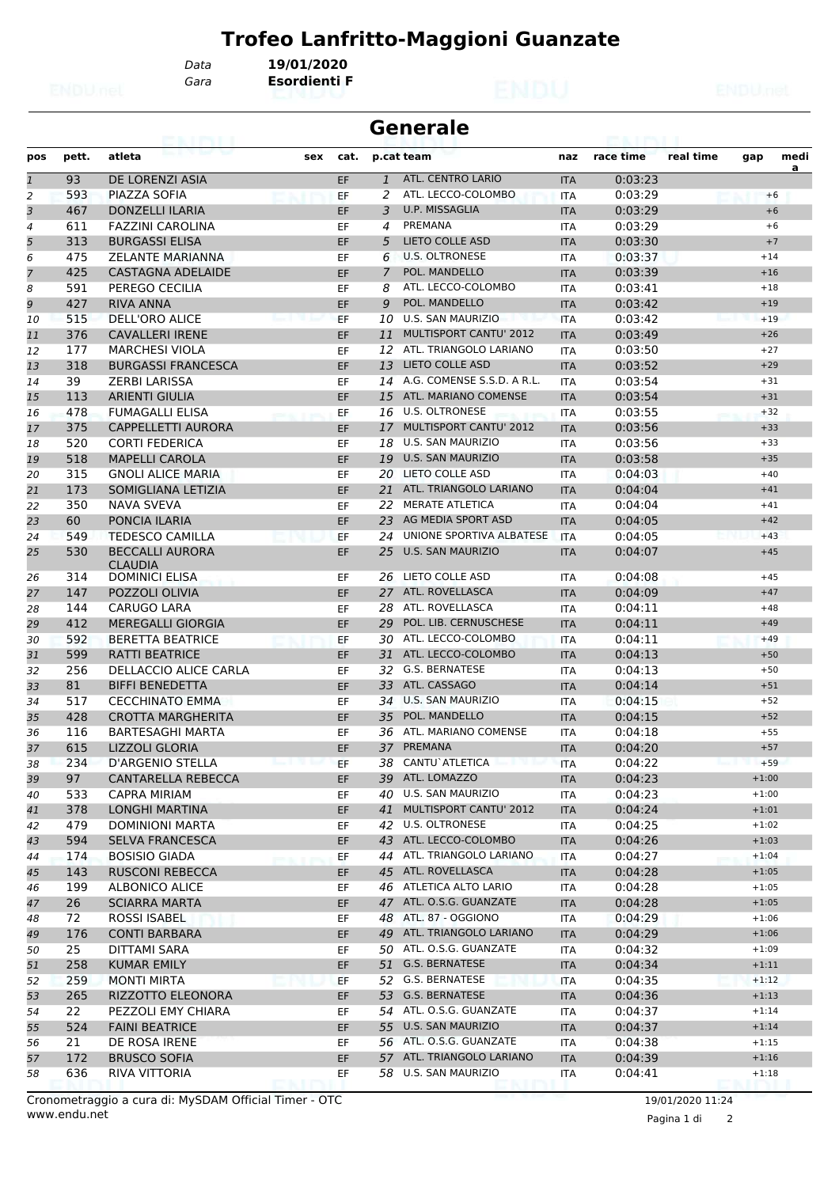*Data* **19/01/2020**

*Gara* **Esordienti F**

|                |       | eairtí                                   |     |      |                | <b>Generale</b>               |            |           |           |         |      |
|----------------|-------|------------------------------------------|-----|------|----------------|-------------------------------|------------|-----------|-----------|---------|------|
| pos            | pett. | atleta                                   | sex | cat. |                | p.cat team                    | naz        | race time | real time | gap     | medi |
| $\mathbf{1}$   | 93    | DE LORENZI ASIA                          |     | EF   | $\mathbf{1}$   | ATL. CENTRO LARIO             | <b>ITA</b> | 0:03:23   |           |         | a    |
| 2              | 593   | <b>PIAZZA SOFIA</b>                      |     | EF   | 2              | ATL. LECCO-COLOMBO            | <b>ITA</b> | 0:03:29   |           | $+6$    |      |
| 3              | 467   | <b>DONZELLI ILARIA</b>                   |     | EF   | 3              | U.P. MISSAGLIA                | <b>ITA</b> | 0:03:29   |           | $+6$    |      |
| 4              | 611   | <b>FAZZINI CAROLINA</b>                  |     | EF   | 4              | PREMANA                       | <b>ITA</b> | 0:03:29   |           | $+6$    |      |
| 5              | 313   | <b>BURGASSI ELISA</b>                    |     | EF   | 5              | <b>LIETO COLLE ASD</b>        | <b>ITA</b> | 0:03:30   |           | $+7$    |      |
| 6              | 475   | <b>ZELANTE MARIANNA</b>                  |     | EF   | 6              | <b>U.S. OLTRONESE</b>         | ITA        | 0:03:37   |           | $+14$   |      |
| $\overline{z}$ | 425   | <b>CASTAGNA ADELAIDE</b>                 |     | EF   | $\overline{7}$ | POL. MANDELLO                 | <b>ITA</b> | 0:03:39   |           | $+16$   |      |
| 8              | 591   | PEREGO CECILIA                           |     | EF   | 8              | ATL. LECCO-COLOMBO            | <b>ITA</b> | 0:03:41   |           | $+18$   |      |
| 9              | 427   | <b>RIVA ANNA</b>                         |     | EF   | 9              | POL. MANDELLO                 | <b>ITA</b> | 0:03:42   |           | $+19$   |      |
| 10             | 515   | <b>DELL'ORO ALICE</b>                    |     | EF   | 10             | <b>U.S. SAN MAURIZIO</b>      | <b>ITA</b> | 0:03:42   |           | $+19$   |      |
| 11             | 376   | <b>CAVALLERI IRENE</b>                   |     | EF   | 11             | <b>MULTISPORT CANTU' 2012</b> | <b>ITA</b> | 0:03:49   |           | $+26$   |      |
| 12             | 177   | <b>MARCHESI VIOLA</b>                    |     | EF   | 12             | ATL. TRIANGOLO LARIANO        | <b>ITA</b> | 0:03:50   |           | $+27$   |      |
| 13             | 318   | <b>BURGASSI FRANCESCA</b>                |     | EF   | 13             | <b>LIETO COLLE ASD</b>        | <b>ITA</b> | 0:03:52   |           | $+29$   |      |
| 14             | 39    | <b>ZERBI LARISSA</b>                     |     | EF   | 14             | A.G. COMENSE S.S.D. A R.L.    | <b>ITA</b> | 0:03:54   |           | $+31$   |      |
| 15             | 113   | <b>ARIENTI GIULIA</b>                    |     | EF   | 15             | ATL. MARIANO COMENSE          | <b>ITA</b> | 0:03:54   |           | $+31$   |      |
| 16             | 478   | <b>FUMAGALLI ELISA</b>                   |     | EF   | 16             | <b>U.S. OLTRONESE</b>         | <b>ITA</b> | 0:03:55   |           | $+32$   |      |
| 17             | 375   | <b>CAPPELLETTI AURORA</b>                |     | EF   | 17             | MULTISPORT CANTU' 2012        | <b>ITA</b> | 0:03:56   |           | $+33$   |      |
| 18             | 520   | <b>CORTI FEDERICA</b>                    |     | EF   | 18             | <b>U.S. SAN MAURIZIO</b>      | <b>ITA</b> | 0:03:56   |           | $+33$   |      |
| 19             | 518   | <b>MAPELLI CAROLA</b>                    |     | EF   | 19             | <b>U.S. SAN MAURIZIO</b>      | <b>ITA</b> | 0:03:58   |           | $+35$   |      |
| 20             | 315   | <b>GNOLI ALICE MARIA</b>                 |     | EF   | 20             | LIETO COLLE ASD               | <b>ITA</b> | 0:04:03   |           | $+40$   |      |
| 21             | 173   | SOMIGLIANA LETIZIA                       |     | EF   |                | 21 ATL. TRIANGOLO LARIANO     | <b>ITA</b> | 0:04:04   |           | $+41$   |      |
| 22             | 350   | NAVA SVEVA                               |     | EF   |                | 22 MERATE ATLETICA            | <b>ITA</b> | 0:04:04   |           | $+41$   |      |
| 23             | 60    | PONCIA ILARIA                            |     | EF   | 23             | AG MEDIA SPORT ASD            | <b>ITA</b> | 0:04:05   |           | $+42$   |      |
| 24             | 549   | <b>TEDESCO CAMILLA</b>                   |     | EF   | 24             | UNIONE SPORTIVA ALBATESE      | <b>ITA</b> | 0:04:05   |           | $+43$   |      |
| 25             | 530   | <b>BECCALLI AURORA</b><br><b>CLAUDIA</b> |     | EF   | 25             | <b>U.S. SAN MAURIZIO</b>      | <b>ITA</b> | 0:04:07   |           | $+45$   |      |
| 26             | 314   | <b>DOMINICI ELISA</b>                    |     | EF   | 26             | LIETO COLLE ASD               | <b>ITA</b> | 0:04:08   |           | $+45$   |      |
| 27             | 147   | POZZOLI OLIVIA                           |     | EF   | 27             | ATL. ROVELLASCA               | <b>ITA</b> | 0:04:09   |           | $+47$   |      |
| 28             | 144   | <b>CARUGO LARA</b>                       |     | EF   | 28             | ATL. ROVELLASCA               | <b>ITA</b> | 0:04:11   |           | $+48$   |      |
| 29             | 412   | <b>MEREGALLI GIORGIA</b>                 |     | EF   | 29             | POL. LIB. CERNUSCHESE         | <b>ITA</b> | 0:04:11   |           | $+49$   |      |
| 30             | 592   | <b>BERETTA BEATRICE</b>                  |     | EF   | 30             | ATL. LECCO-COLOMBO            | <b>ITA</b> | 0:04:11   |           | $+49$   |      |
| 31             | 599   | <b>RATTI BEATRICE</b>                    |     | EF   |                | 31 ATL. LECCO-COLOMBO         | <b>ITA</b> | 0:04:13   |           | $+50$   |      |
| 32             | 256   | DELLACCIO ALICE CARLA                    |     | EF   | 32             | <b>G.S. BERNATESE</b>         | ITA        | 0:04:13   |           | $+50$   |      |
| 33             | 81    | <b>BIFFI BENEDETTA</b>                   |     | EF   | 33             | ATL. CASSAGO                  | <b>ITA</b> | 0:04:14   |           | $+51$   |      |
| 34             | 517   | <b>CECCHINATO EMMA</b>                   |     | EF   | 34             | <b>U.S. SAN MAURIZIO</b>      | <b>ITA</b> | 0:04:15   |           | $+52$   |      |
| 35             | 428   | <b>CROTTA MARGHERITA</b>                 |     | EF   | 35             | POL. MANDELLO                 | <b>ITA</b> | 0:04:15   |           | $+52$   |      |
| 36             | 116   | <b>BARTESAGHI MARTA</b>                  |     | EF   | 36             | ATL. MARIANO COMENSE          | <b>ITA</b> | 0:04:18   |           | $+55$   |      |
| 37             | 615   | <b>LIZZOLI GLORIA</b>                    |     | EF   | 37             | PREMANA                       | <b>ITA</b> | 0:04:20   |           | $+57$   |      |
| 38             | 234   | D'ARGENIO STELLA                         |     | EF   |                | 38 CANTU' ATLETICA            | <b>ITA</b> | 0:04:22   |           | $+59$   |      |
| 39             | 97    | <b>CANTARELLA REBECCA</b>                |     | EF   |                | 39 ATL. LOMAZZO               | <b>ITA</b> | 0:04:23   |           | $+1:00$ |      |
| 40             | 533   | <b>CAPRA MIRIAM</b>                      |     | EF   | 40             | <b>U.S. SAN MAURIZIO</b>      | ITA        | 0:04:23   |           | $+1:00$ |      |
| 41             | 378   | LONGHI MARTINA                           |     | EF   |                | 41 MULTISPORT CANTU' 2012     | <b>ITA</b> | 0:04:24   |           | $+1:01$ |      |
| 42             | 479   | DOMINIONI MARTA                          |     | EF   |                | 42 U.S. OLTRONESE             | ITA        | 0:04:25   |           | $+1:02$ |      |
| 43             | 594   | <b>SELVA FRANCESCA</b>                   |     | EF   |                | 43 ATL. LECCO-COLOMBO         | <b>ITA</b> | 0:04:26   |           | $+1:03$ |      |
| 44             | 174   | <b>BOSISIO GIADA</b>                     |     | EF   |                | 44 ATL. TRIANGOLO LARIANO     | <b>ITA</b> | 0:04:27   |           | $+1:04$ |      |
| 45             | 143   | <b>RUSCONI REBECCA</b>                   |     | EF   | 45             | ATL. ROVELLASCA               | <b>ITA</b> | 0:04:28   |           | $+1:05$ |      |
| 46             | 199   | <b>ALBONICO ALICE</b>                    |     | EF   |                | 46 ATLETICA ALTO LARIO        | ITA        | 0:04:28   |           | $+1:05$ |      |
| 47             | 26    | <b>SCIARRA MARTA</b>                     |     | EF   |                | 47 ATL. O.S.G. GUANZATE       | <b>ITA</b> | 0:04:28   |           | $+1:05$ |      |
| 48             | 72    | ROSSI ISABEL                             |     | EF   |                | 48 ATL. 87 - OGGIONO          | ITA        | 0:04:29   |           | $+1:06$ |      |
| 49             | 176   | <b>CONTI BARBARA</b>                     |     | EF   |                | 49 ATL. TRIANGOLO LARIANO     | <b>ITA</b> | 0:04:29   |           | $+1:06$ |      |
| 50             | 25    | <b>DITTAMI SARA</b>                      |     | EF   |                | 50 ATL. O.S.G. GUANZATE       | ITA        | 0:04:32   |           | $+1:09$ |      |
| 51             | 258   | <b>KUMAR EMILY</b>                       |     | EF   |                | 51 G.S. BERNATESE             | <b>ITA</b> | 0:04:34   |           | $+1:11$ |      |
| 52             | 259   | <b>MONTI MIRTA</b>                       |     | EF   |                | 52 G.S. BERNATESE             | ITA        | 0:04:35   |           | $+1:12$ |      |
| 53             | 265   | RIZZOTTO ELEONORA                        |     | EF   |                | 53 G.S. BERNATESE             | <b>ITA</b> | 0:04:36   |           | $+1:13$ |      |
| 54             | 22    | PEZZOLI EMY CHIARA                       |     | EF   |                | 54 ATL. O.S.G. GUANZATE       | ITA        | 0:04:37   |           | $+1:14$ |      |
| 55             | 524   | <b>FAINI BEATRICE</b>                    |     | EF   |                | 55 U.S. SAN MAURIZIO          | <b>ITA</b> | 0:04:37   |           | $+1:14$ |      |
| 56             | 21    | DE ROSA IRENE                            |     | EF   |                | 56 ATL. O.S.G. GUANZATE       | ITA        | 0:04:38   |           | $+1:15$ |      |
| 57             | 172   | <b>BRUSCO SOFIA</b>                      |     | EF   |                | 57 ATL. TRIANGOLO LARIANO     | <b>ITA</b> | 0:04:39   |           | $+1:16$ |      |
|                | 636   | RIVA VITTORIA                            |     | EF   |                | 58 U.S. SAN MAURIZIO          |            | 0:04:41   |           | $+1:18$ |      |
| 58             |       |                                          |     |      |                |                               | ITA        |           |           |         |      |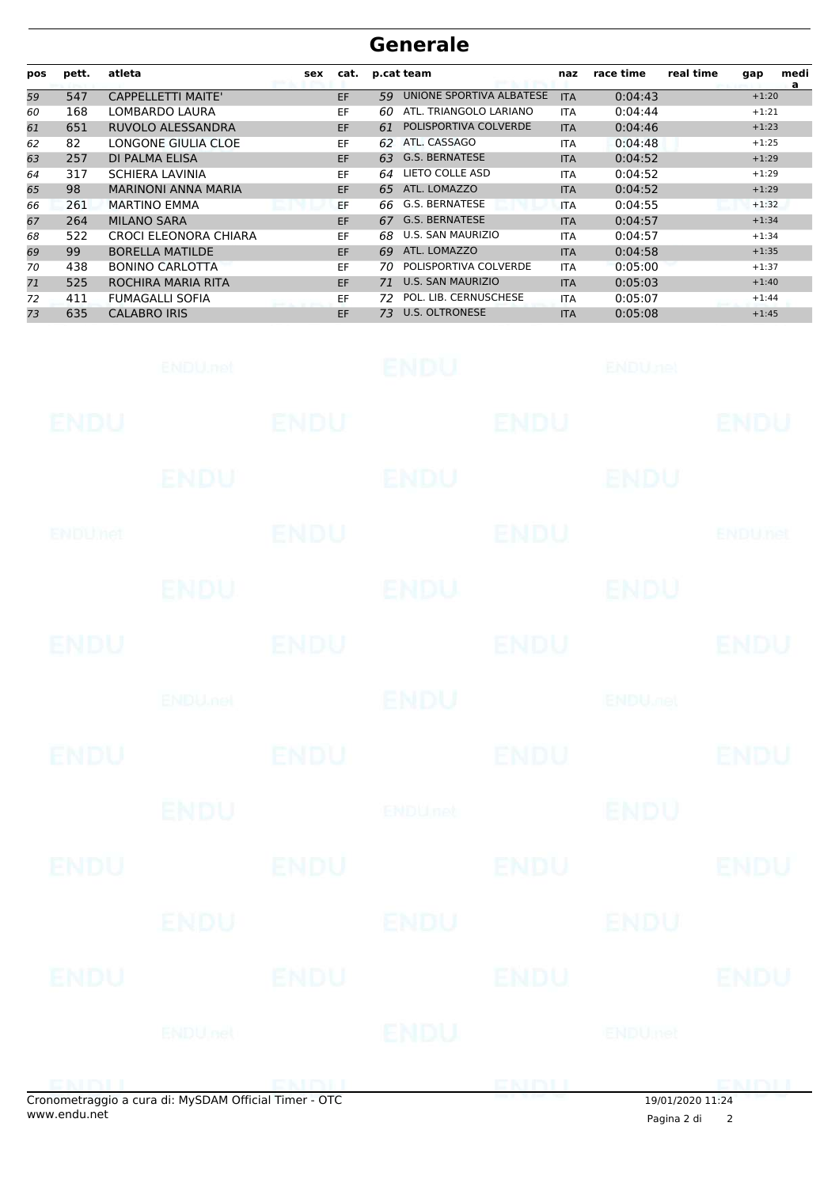| pos | pett. | atleta                     | sex | cat.      |    | p.cat team               | naz        | race time | real time<br>medi<br>gap<br>a |
|-----|-------|----------------------------|-----|-----------|----|--------------------------|------------|-----------|-------------------------------|
| 59  | 547   | <b>CAPPELLETTI MAITE'</b>  |     | EF.       | 59 | UNIONE SPORTIVA ALBATESE | <b>ITA</b> | 0:04:43   | $+1:20$                       |
| 60  | 168   | LOMBARDO LAURA             |     | EF        | 60 | ATL. TRIANGOLO LARIANO   | <b>ITA</b> | 0:04:44   | $+1:21$                       |
| 61  | 651   | <b>RUVOLO ALESSANDRA</b>   |     | <b>EF</b> | 61 | POLISPORTIVA COLVERDE    | <b>ITA</b> | 0:04:46   | $+1:23$                       |
| 62  | 82    | LONGONE GIULIA CLOE        |     | EF        | 62 | ATL. CASSAGO             | <b>ITA</b> | 0:04:48   | $+1:25$                       |
| 63  | 257   | <b>DI PALMA ELISA</b>      |     | <b>EF</b> | 63 | <b>G.S. BERNATESE</b>    | <b>ITA</b> | 0:04:52   | $+1:29$                       |
| 64  | 317   | <b>SCHIERA LAVINIA</b>     |     | EF.       | 64 | LIETO COLLE ASD          | <b>ITA</b> | 0:04:52   | $+1:29$                       |
| 65  | 98    | <b>MARINONI ANNA MARIA</b> |     | <b>EF</b> | 65 | ATL. LOMAZZO             | <b>ITA</b> | 0:04:52   | $+1:29$                       |
| 66  | 261   | <b>MARTINO EMMA</b>        |     | EF        | 66 | G.S. BERNATESE           | <b>ITA</b> | 0:04:55   | $+1:32$                       |
| 67  | 264   | <b>MILANO SARA</b>         |     | <b>EF</b> | 67 | <b>G.S. BERNATESE</b>    | <b>ITA</b> | 0:04:57   | $+1:34$                       |
| 68  | 522   | CROCI ELEONORA CHIARA      |     | EF        | 68 | U.S. SAN MAURIZIO        | <b>ITA</b> | 0:04:57   | $+1:34$                       |
| 69  | 99    | <b>BORELLA MATILDE</b>     |     | EF.       | 69 | ATL. LOMAZZO             | <b>ITA</b> | 0:04:58   | $+1:35$                       |
| 70  | 438   | <b>BONINO CARLOTTA</b>     |     | EF.       | 70 | POLISPORTIVA COLVERDE    | <b>ITA</b> | 0:05:00   | $+1:37$                       |
| 71  | 525   | ROCHIRA MARIA RITA         |     | EF.       | 71 | <b>U.S. SAN MAURIZIO</b> | <b>ITA</b> | 0:05:03   | $+1:40$                       |
| 72  | 411   | <b>FUMAGALLI SOFIA</b>     |     | EF.       | 72 | POL. LIB. CERNUSCHESE    | <b>ITA</b> | 0:05:07   | $+1:44$                       |
| 73  | 635   | <b>CALABRO IRIS</b>        |     | <b>EF</b> | 73 | <b>U.S. OLTRONESE</b>    | <b>ITA</b> | 0:05:08   | $+1:45$                       |

|             | ENDU.net                                            |             | <b>ENDU</b> |             | <b>ENDUnet</b>            |                |
|-------------|-----------------------------------------------------|-------------|-------------|-------------|---------------------------|----------------|
| ENDU        |                                                     | <b>ENDU</b> |             | <b>ENDU</b> |                           | <b>ENDU</b>    |
|             | ENDU                                                |             | <b>ENDU</b> |             | ENDU                      |                |
| ENDUMet     |                                                     | <b>ENDU</b> |             | <b>ENDU</b> |                           | <b>ENDUnet</b> |
|             | <b>ENDU</b>                                         |             | ENDU        |             | <b>ENDU</b>               |                |
| <b>ENDU</b> |                                                     | <b>ENDU</b> |             | <b>ENDU</b> |                           | <b>ENDU</b>    |
|             | <b>ENDUMBL</b>                                      |             | <b>ENDU</b> |             | <b>ENDU<sub>DEL</sub></b> |                |
| <b>ENDU</b> |                                                     | <b>ENDU</b> |             | <b>ENDU</b> |                           | <b>ENDU</b>    |
|             | <b>ENDU</b>                                         |             | ENDUnet     |             | <b>ENDU</b>               |                |
| <b>ENDU</b> |                                                     | <b>ENDU</b> |             | <b>ENDU</b> |                           | <b>ENDU</b>    |
|             | <b>ENDU</b>                                         |             | ENDU        |             | ENDU                      |                |
| <b>ENDU</b> |                                                     | <b>ENDU</b> |             | ENDU        |                           | <b>ENDU</b>    |
|             | ENDULnet                                            |             | ENDU        |             | ENDUmet                   |                |
|             | onometraggio a cura di: MySDAM Official Timer - OTC |             |             |             | $10/01/2020$ $11.24$      |                |

 $\overline{\phantom{0}}$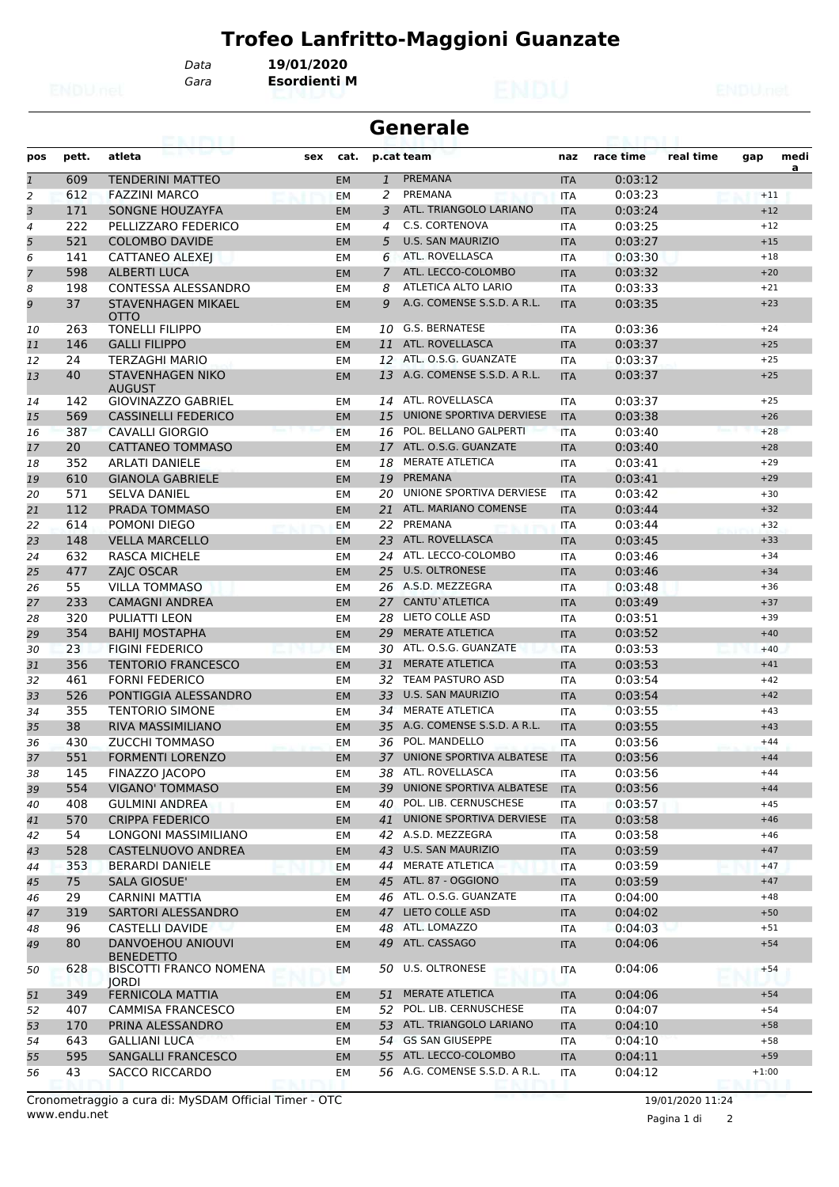*Gara* **Esordienti M** *Data* **19/01/2020**

|                | <b>Generale</b><br>63. I PS I. I |                                               |     |           |                |                               |            |           |           |         |           |
|----------------|----------------------------------|-----------------------------------------------|-----|-----------|----------------|-------------------------------|------------|-----------|-----------|---------|-----------|
| pos            | pett.                            | atleta                                        | sex | cat.      |                | p.cat team                    | naz        | race time | real time | gap     | medi<br>a |
| $\overline{1}$ | 609                              | <b>TENDERINI MATTEO</b>                       |     | <b>EM</b> | $\mathbf{1}$   | PREMANA                       | <b>ITA</b> | 0:03:12   |           |         |           |
| 2              | 612                              | <b>FAZZINI MARCO</b>                          |     | EM        | 2              | PREMANA                       | <b>ITA</b> | 0:03:23   |           | $+11$   |           |
| 3              | 171                              | <b>SONGNE HOUZAYFA</b>                        |     | <b>EM</b> | 3              | ATL. TRIANGOLO LARIANO        | <b>ITA</b> | 0:03:24   |           | $+12$   |           |
| 4              | 222                              | PELLIZZARO FEDERICO                           |     | EM        | $\overline{4}$ | C.S. CORTENOVA                | <b>ITA</b> | 0:03:25   |           | $+12$   |           |
| 5              | 521                              | <b>COLOMBO DAVIDE</b>                         |     | <b>EM</b> | 5              | <b>U.S. SAN MAURIZIO</b>      | <b>ITA</b> | 0:03:27   |           | $+15$   |           |
| 6              | 141                              | <b>CATTANEO ALEXEJ</b>                        |     | EМ        | 6              | ATL. ROVELLASCA               | <b>ITA</b> | 0:03:30   |           | $+18$   |           |
| $\overline{7}$ | 598                              | <b>ALBERTI LUCA</b>                           |     | <b>EM</b> | $\overline{7}$ | ATL. LECCO-COLOMBO            | <b>ITA</b> | 0:03:32   |           | $+20$   |           |
| 8              | 198                              | CONTESSA ALESSANDRO                           |     | EM        | 8              | ATLETICA ALTO LARIO           | <b>ITA</b> | 0:03:33   |           | $+21$   |           |
| 9              | 37                               | STAVENHAGEN MIKAEL<br><b>OTTO</b>             |     | EM        | 9              | A.G. COMENSE S.S.D. A R.L.    | <b>ITA</b> | 0:03:35   |           | $+23$   |           |
| 10             | 263                              | <b>TONELLI FILIPPO</b>                        |     | EМ        | 10             | G.S. BERNATESE                | ITA        | 0:03:36   |           | $+24$   |           |
| 11             | 146                              | <b>GALLI FILIPPO</b>                          |     | <b>EM</b> | 11             | ATL. ROVELLASCA               | <b>ITA</b> | 0:03:37   |           | $+25$   |           |
| 12             | 24                               | TERZAGHI MARIO                                |     | EM        |                | 12 ATL. O.S.G. GUANZATE       | <b>ITA</b> | 0:03:37   |           | $+25$   |           |
| 13             | 40                               | <b>STAVENHAGEN NIKO</b><br><b>AUGUST</b>      |     | EM        | 13             | A.G. COMENSE S.S.D. A R.L.    | <b>ITA</b> | 0:03:37   |           | $+25$   |           |
| 14             | 142                              | <b>GIOVINAZZO GABRIEL</b>                     |     | EМ        |                | 14 ATL. ROVELLASCA            | <b>ITA</b> | 0:03:37   |           | $+25$   |           |
| 15             | 569                              | <b>CASSINELLI FEDERICO</b>                    |     | <b>EM</b> | 15             | UNIONE SPORTIVA DERVIESE      | <b>ITA</b> | 0:03:38   |           | $+26$   |           |
| 16             | 387                              | <b>CAVALLI GIORGIO</b>                        |     | <b>EM</b> | 16             | POL. BELLANO GALPERTI         | <b>ITA</b> | 0:03:40   |           | $+28$   |           |
| 17             | 20                               | <b>CATTANEO TOMMASO</b>                       |     | <b>EM</b> | 17             | ATL. O.S.G. GUANZATE          | <b>ITA</b> | 0:03:40   |           | $+28$   |           |
| 18             | 352                              | <b>ARLATI DANIELE</b>                         |     | EM        | 18             | <b>MERATE ATLETICA</b>        | <b>ITA</b> | 0:03:41   |           | $+29$   |           |
| 19             | 610                              | <b>GIANOLA GABRIELE</b>                       |     | <b>EM</b> | 19             | PREMANA                       | <b>ITA</b> | 0:03:41   |           | $+29$   |           |
| 20             | 571                              | <b>SELVA DANIEL</b>                           |     | EМ        | 20             | UNIONE SPORTIVA DERVIESE      | ITA        | 0:03:42   |           | $+30$   |           |
| 21             | 112                              | PRADA TOMMASO                                 |     | <b>EM</b> |                | 21 ATL. MARIANO COMENSE       | <b>ITA</b> | 0:03:44   |           | $+32$   |           |
| 22             | 614                              | POMONI DIEGO                                  |     | EM        | 22             | PREMANA                       | <b>ITA</b> | 0:03:44   |           | $+32$   |           |
| 23             | 148                              | <b>VELLA MARCELLO</b>                         |     | <b>EM</b> | 23             | ATL. ROVELLASCA               | <b>ITA</b> | 0:03:45   |           | $+33$   |           |
| 24             | 632                              | <b>RASCA MICHELE</b>                          |     | EM        |                | 24 ATL. LECCO-COLOMBO         | <b>ITA</b> | 0:03:46   |           | $+34$   |           |
| 25             | 477                              | <b>ZAIC OSCAR</b>                             |     | <b>EM</b> | 25             | <b>U.S. OLTRONESE</b>         | <b>ITA</b> | 0:03:46   |           | $+34$   |           |
| 26             | 55                               | <b>VILLA TOMMASO</b>                          |     | EМ        |                | 26 A.S.D. MEZZEGRA            | ITA        | 0:03:48   |           | $+36$   |           |
| 27             | 233                              | <b>CAMAGNI ANDREA</b>                         |     | <b>EM</b> | 27             | CANTU`ATLETICA                | <b>ITA</b> | 0:03:49   |           | $+37$   |           |
| 28             | 320                              | <b>PULIATTI LEON</b>                          |     | EM        | 28             | LIETO COLLE ASD               | <b>ITA</b> | 0:03:51   |           | $+39$   |           |
| 29             | 354                              | <b>BAHIJ MOSTAPHA</b>                         |     | <b>EM</b> | 29             | <b>MERATE ATLETICA</b>        | <b>ITA</b> | 0:03:52   |           | $+40$   |           |
| 30             | 23                               | <b>FIGINI FEDERICO</b>                        |     | <b>EM</b> |                | 30 ATL. O.S.G. GUANZATE       | <b>ITA</b> | 0:03:53   |           | $+40$   |           |
| 31             | 356                              | <b>TENTORIO FRANCESCO</b>                     |     | <b>EM</b> | 31             | <b>MERATE ATLETICA</b>        | <b>ITA</b> | 0:03:53   |           | $+41$   |           |
| 32             | 461                              | <b>FORNI FEDERICO</b>                         |     | EМ        | 32             | <b>TEAM PASTURO ASD</b>       | <b>ITA</b> | 0:03:54   |           | $+42$   |           |
| 33             | 526                              | PONTIGGIA ALESSANDRO                          |     | <b>EM</b> | 33             | <b>U.S. SAN MAURIZIO</b>      | <b>ITA</b> | 0:03:54   |           | $+42$   |           |
| 34             | 355                              | <b>TENTORIO SIMONE</b>                        |     | EМ        | 34             | <b>MERATE ATLETICA</b>        | <b>ITA</b> | 0:03:55   |           | $+43$   |           |
| 35             | 38                               | <b>RIVA MASSIMILIANO</b>                      |     | <b>EM</b> | 35             | A.G. COMENSE S.S.D. A R.L.    | <b>ITA</b> | 0:03:55   |           | $+43$   |           |
| 36             | 430                              | <b>ZUCCHI TOMMASO</b>                         |     | EM        |                | 36 POL. MANDELLO              | <b>ITA</b> | 0:03:56   |           | $+44$   |           |
| 37             | 551                              | <b>FORMENTI LORENZO</b>                       |     | EM        |                | 37 UNIONE SPORTIVA ALBATESE   | <b>ITA</b> | 0:03:56   |           | $+44$   |           |
| 38             | 145                              | FINAZZO JACOPO                                |     | EМ        |                | 38 ATL. ROVELLASCA            | ITA        | 0:03:56   |           | $+44$   |           |
| 39             | 554                              | VIGANO' TOMMASO                               |     | EM        |                | 39 UNIONE SPORTIVA ALBATESE   | <b>ITA</b> | 0:03:56   |           | $+44$   |           |
| 40             | 408                              | <b>GULMINI ANDREA</b>                         |     | EМ        |                | 40 POL. LIB. CERNUSCHESE      | ITA        | 0:03:57   |           | $+45$   |           |
| 41             | 570                              | <b>CRIPPA FEDERICO</b>                        |     | EM        | 41             | UNIONE SPORTIVA DERVIESE      | <b>ITA</b> | 0:03:58   |           | $+46$   |           |
| 42             | 54                               | LONGONI MASSIMILIANO                          |     | EМ        |                | 42 A.S.D. MEZZEGRA            | ITA        | 0:03:58   |           | $+46$   |           |
| 43             | 528                              | CASTELNUOVO ANDREA                            |     | <b>EM</b> |                | 43 U.S. SAN MAURIZIO          | <b>ITA</b> | 0:03:59   |           | $+47$   |           |
| 44             | 353                              | <b>BERARDI DANIELE</b>                        |     | EM        |                | 44 MERATE ATLETICA            | <b>ITA</b> | 0:03:59   |           | $+47$   |           |
| 45             | 75                               | <b>SALA GIOSUE'</b>                           |     | <b>EM</b> |                | 45 ATL. 87 - OGGIONO          | <b>ITA</b> | 0:03:59   |           | $+47$   |           |
| 46             | 29                               | <b>CARNINI MATTIA</b>                         |     | EМ        |                | 46 ATL. O.S.G. GUANZATE       | ITA        | 0:04:00   |           | $+48$   |           |
| 47             | 319                              | SARTORI ALESSANDRO                            |     | EM        |                | 47 LIETO COLLE ASD            | <b>ITA</b> | 0:04:02   |           | $+50$   |           |
|                | 96                               | <b>CASTELLI DAVIDE</b>                        |     |           |                | 48 ATL. LOMAZZO               |            | 0:04:03   |           | $+51$   |           |
| 48             |                                  | DANVOEHOU ANIOUVI                             |     | EМ        |                | 49 ATL. CASSAGO               | <b>ITA</b> |           |           | $+54$   |           |
| 49             | 80                               | <b>BENEDETTO</b>                              |     | <b>EM</b> |                | 50 U.S. OLTRONESE             | <b>ITA</b> | 0:04:06   |           | $+54$   |           |
| 50             | 628                              | <b>BISCOTTI FRANCO NOMENA</b><br><b>IORDI</b> |     | EM        |                |                               | ITA        | 0:04:06   |           |         |           |
| 51             | 349                              | FERNICOLA MATTIA                              |     | <b>EM</b> | 51             | <b>MERATE ATLETICA</b>        | <b>ITA</b> | 0:04:06   |           | $+54$   |           |
| 52             | 407                              | <b>CAMMISA FRANCESCO</b>                      |     | EМ        |                | 52 POL. LIB. CERNUSCHESE      | <b>ITA</b> | 0:04:07   |           | $+54$   |           |
| 53             | 170                              | PRINA ALESSANDRO                              |     | <b>EM</b> |                | 53 ATL. TRIANGOLO LARIANO     | <b>ITA</b> | 0:04:10   |           | $+58$   |           |
| 54             | 643                              | <b>GALLIANI LUCA</b>                          |     | EМ        |                | 54 GS SAN GIUSEPPE            | ITA        | 0:04:10   |           | $+58$   |           |
| 55             | 595                              | SANGALLI FRANCESCO                            |     | EM        |                | 55 ATL. LECCO-COLOMBO         | <b>ITA</b> | 0:04:11   |           | $+59$   |           |
| 56             | 43                               | <b>SACCO RICCARDO</b>                         |     | EМ        |                | 56 A.G. COMENSE S.S.D. A R.L. | ITA        | 0:04:12   |           | $+1:00$ |           |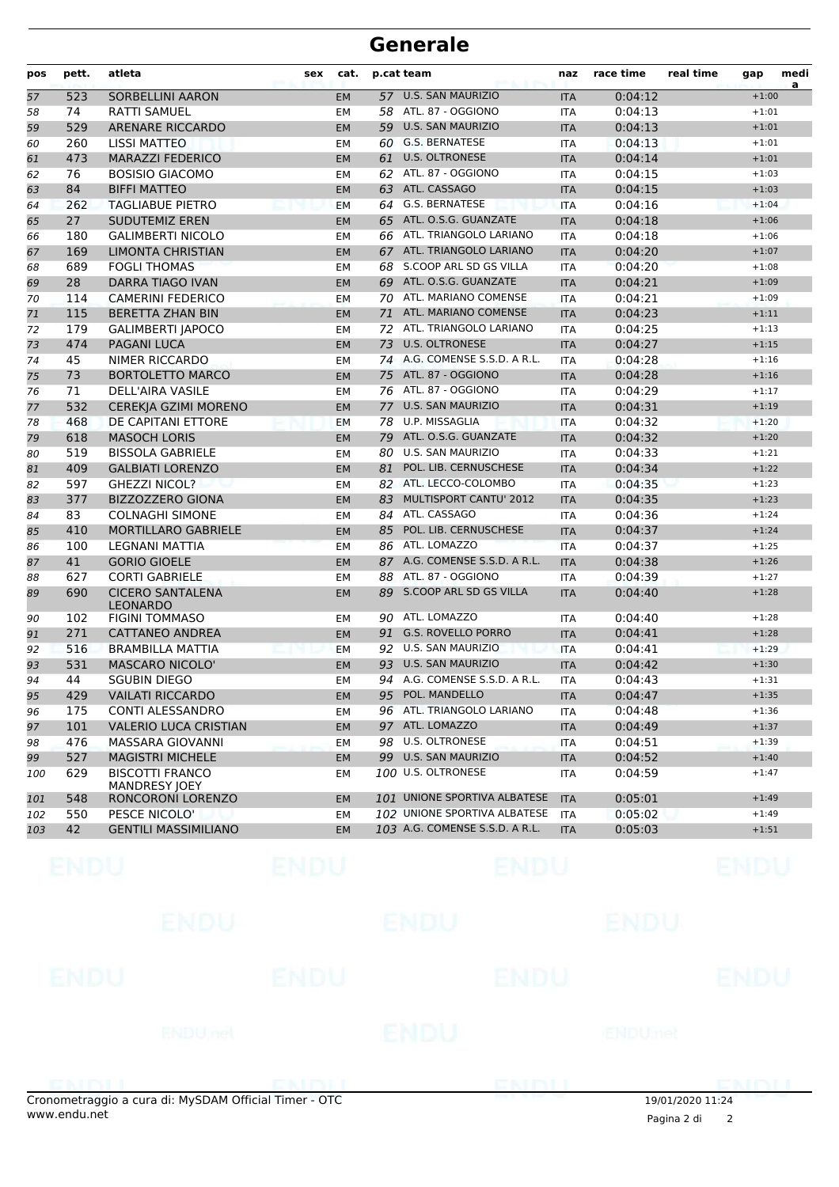| pos | pett. | atleta                                         | sex | cat.      |    | p.cat team                     | naz        | race time | real time | gap     | medi |
|-----|-------|------------------------------------------------|-----|-----------|----|--------------------------------|------------|-----------|-----------|---------|------|
| 57  | 523   | <b>SORBELLINI AARON</b>                        |     | <b>EM</b> |    | 57 U.S. SAN MAURIZIO           | <b>ITA</b> | 0:04:12   |           | $+1:00$ | a    |
| 58  | 74    | <b>RATTI SAMUEL</b>                            |     | EМ        |    | 58 ATL. 87 - OGGIONO           | ITA        | 0:04:13   |           | $+1:01$ |      |
| 59  | 529   | ARENARE RICCARDO                               |     | <b>EM</b> |    | 59 U.S. SAN MAURIZIO           | <b>ITA</b> | 0:04:13   |           | $+1:01$ |      |
| 60  | 260   | <b>LISSI MATTEO</b>                            |     | EM        |    | 60 G.S. BERNATESE              | <b>ITA</b> | 0:04:13   |           | $+1:01$ |      |
| 61  | 473   | <b>MARAZZI FEDERICO</b>                        |     | <b>EM</b> | 61 | <b>U.S. OLTRONESE</b>          | <b>ITA</b> | 0:04:14   |           | $+1:01$ |      |
| 62  | 76    | <b>BOSISIO GIACOMO</b>                         |     | EМ        |    | 62 ATL. 87 - OGGIONO           | <b>ITA</b> | 0:04:15   |           | $+1:03$ |      |
| 63  | 84    | <b>BIFFI MATTEO</b>                            |     | <b>EM</b> | 63 | ATL. CASSAGO                   | <b>ITA</b> | 0:04:15   |           | $+1:03$ |      |
| 64  | 262   | <b>TAGLIABUE PIETRO</b>                        |     | EM        |    | 64 G.S. BERNATESE              | <b>ITA</b> | 0:04:16   |           | $+1:04$ |      |
| 65  | 27    | <b>SUDUTEMIZ EREN</b>                          |     | <b>EM</b> |    | 65 ATL. O.S.G. GUANZATE        | <b>ITA</b> | 0:04:18   |           | $+1:06$ |      |
| 66  | 180   | <b>GALIMBERTI NICOLO</b>                       |     | EM        |    | 66 ATL. TRIANGOLO LARIANO      | <b>ITA</b> | 0:04:18   |           | $+1:06$ |      |
| 67  | 169   | <b>LIMONTA CHRISTIAN</b>                       |     | <b>EM</b> | 67 | ATL. TRIANGOLO LARIANO         | <b>ITA</b> | 0:04:20   |           | $+1:07$ |      |
| 68  | 689   | <b>FOGLI THOMAS</b>                            |     | EМ        | 68 | S.COOP ARL SD GS VILLA         | <b>ITA</b> | 0:04:20   |           | $+1:08$ |      |
| 69  | 28    | <b>DARRA TIAGO IVAN</b>                        |     | <b>EM</b> | 69 | ATL. O.S.G. GUANZATE           | <b>ITA</b> | 0:04:21   |           | $+1:09$ |      |
| 70  | 114   | <b>CAMERINI FEDERICO</b>                       |     | EМ        |    | 70 ATL. MARIANO COMENSE        | ITA        | 0:04:21   |           | $+1:09$ |      |
| 71  | 115   | <b>BERETTA ZHAN BIN</b>                        |     | <b>EM</b> |    | 71 ATL. MARIANO COMENSE        | <b>ITA</b> | 0:04:23   |           | $+1:11$ |      |
| 72  | 179   | <b>GALIMBERTI JAPOCO</b>                       |     | EM        |    | 72 ATL. TRIANGOLO LARIANO      | <b>ITA</b> | 0:04:25   |           | $+1:13$ |      |
| 73  | 474   | <b>PAGANI LUCA</b>                             |     | <b>EM</b> | 73 | <b>U.S. OLTRONESE</b>          | <b>ITA</b> | 0:04:27   |           | $+1:15$ |      |
| 74  | 45    | NIMER RICCARDO                                 |     | EM        |    | 74 A.G. COMENSE S.S.D. A R.L.  | <b>ITA</b> | 0:04:28   |           | $+1:16$ |      |
| 75  | 73    | <b>BORTOLETTO MARCO</b>                        |     | <b>EM</b> |    | 75 ATL. 87 - OGGIONO           | <b>ITA</b> | 0:04:28   |           | $+1:16$ |      |
| 76  | 71    | <b>DELL'AIRA VASILE</b>                        |     | EМ        |    | 76 ATL. 87 - OGGIONO           | <b>ITA</b> | 0:04:29   |           | $+1:17$ |      |
| 77  | 532   | CEREKJA GZIMI MORENO                           |     | <b>EM</b> |    | 77 U.S. SAN MAURIZIO           | <b>ITA</b> | 0:04:31   |           | $+1:19$ |      |
| 78  | 468   | DE CAPITANI ETTORE                             |     | EM        | 78 | U.P. MISSAGLIA                 | <b>ITA</b> | 0:04:32   |           | $+1:20$ |      |
| 79  | 618   | <b>MASOCH LORIS</b>                            |     | <b>EM</b> | 79 | ATL. O.S.G. GUANZATE           | <b>ITA</b> | 0:04:32   |           | $+1:20$ |      |
| 80  | 519   | <b>BISSOLA GABRIELE</b>                        |     | EM        | 80 | <b>U.S. SAN MAURIZIO</b>       | <b>ITA</b> | 0:04:33   |           | $+1:21$ |      |
| 81  | 409   | <b>GALBIATI LORENZO</b>                        |     | <b>EM</b> | 81 | POL. LIB. CERNUSCHESE          | <b>ITA</b> | 0:04:34   |           | $+1:22$ |      |
| 82  | 597   | <b>GHEZZI NICOL?</b>                           |     | EМ        |    | 82 ATL. LECCO-COLOMBO          | <b>ITA</b> | 0:04:35   |           | $+1:23$ |      |
| 83  | 377   | <b>BIZZOZZERO GIONA</b>                        |     | <b>EM</b> | 83 | MULTISPORT CANTU' 2012         | <b>ITA</b> | 0:04:35   |           | $+1:23$ |      |
| 84  | 83    | <b>COLNAGHI SIMONE</b>                         |     | EM        |    | 84 ATL. CASSAGO                | <b>ITA</b> | 0:04:36   |           | $+1:24$ |      |
| 85  | 410   | MORTILLARO GABRIELE                            |     | <b>EM</b> | 85 | POL. LIB. CERNUSCHESE          | <b>ITA</b> | 0:04:37   |           | $+1:24$ |      |
| 86  | 100   | LEGNANI MATTIA                                 |     | <b>EM</b> |    | 86 ATL. LOMAZZO                | <b>ITA</b> | 0:04:37   |           | $+1:25$ |      |
| 87  | 41    | <b>GORIO GIOELE</b>                            |     | <b>EM</b> | 87 | A.G. COMENSE S.S.D. A R.L.     | <b>ITA</b> | 0:04:38   |           | $+1:26$ |      |
| 88  | 627   | <b>CORTI GABRIELE</b>                          |     | EМ        |    | 88 ATL. 87 - OGGIONO           | <b>ITA</b> | 0:04:39   |           | $+1:27$ |      |
| 89  | 690   | <b>CICERO SANTALENA</b>                        |     | <b>EM</b> | 89 | S.COOP ARL SD GS VILLA         | <b>ITA</b> | 0:04:40   |           | $+1:28$ |      |
|     |       | <b>LEONARDO</b>                                |     |           |    |                                |            |           |           |         |      |
| 90  | 102   | <b>FIGINI TOMMASO</b>                          |     | EМ        |    | 90 ATL. LOMAZZO                | <b>ITA</b> | 0:04:40   |           | $+1:28$ |      |
| 91  | 271   | CATTANEO ANDREA                                |     | <b>EM</b> | 91 | <b>G.S. ROVELLO PORRO</b>      | <b>ITA</b> | 0:04:41   |           | $+1:28$ |      |
| 92  | 516   | <b>BRAMBILLA MATTIA</b>                        |     | EM        | 92 | <b>U.S. SAN MAURIZIO</b>       | <b>ITA</b> | 0:04:41   |           | $+1:29$ |      |
| 93  | 531   | <b>MASCARO NICOLO'</b>                         |     | <b>EM</b> |    | 93 U.S. SAN MAURIZIO           | <b>ITA</b> | 0:04:42   |           | $+1:30$ |      |
| 94  | 44    | <b>SGUBIN DIEGO</b>                            |     | <b>EM</b> |    | 94 A.G. COMENSE S.S.D. A R.L.  | <b>ITA</b> | 0:04:43   |           | $+1:31$ |      |
| 95  | 429   | <b>VAILATI RICCARDO</b>                        |     | EM        |    | 95 POL. MANDELLO               | <b>ITA</b> | 0:04:47   |           | $+1:35$ |      |
| 96  | 175   | CONTI ALESSANDRO                               |     | EМ        |    | 96 ATL. TRIANGOLO LARIANO      | ITA        | 0:04:48   |           | $+1:36$ |      |
| 97  | 101   | <b>VALERIO LUCA CRISTIAN</b>                   |     | <b>EM</b> |    | 97 ATL. LOMAZZO                | <b>ITA</b> | 0:04:49   |           | $+1:37$ |      |
| 98  | 476   | MASSARA GIOVANNI                               |     | EМ        |    | 98 U.S. OLTRONESE              | <b>ITA</b> | 0:04:51   |           | $+1:39$ |      |
| 99  | 527   | <b>MAGISTRI MICHELE</b>                        |     | <b>EM</b> |    | 99 U.S. SAN MAURIZIO           | <b>ITA</b> | 0:04:52   |           | $+1:40$ |      |
| 100 | 629   | <b>BISCOTTI FRANCO</b><br><b>MANDRESY JOEY</b> |     | EМ        |    | 100 U.S. OLTRONESE             | ITA        | 0:04:59   |           | $+1:47$ |      |
| 101 | 548   | RONCORONI LORENZO                              |     | <b>EM</b> |    | 101 UNIONE SPORTIVA ALBATESE   | <b>ITA</b> | 0:05:01   |           | $+1:49$ |      |
| 102 | 550   | PESCE NICOLO'                                  |     | EМ        |    | 102 UNIONE SPORTIVA ALBATESE   | <b>ITA</b> | 0:05:02   |           | $+1:49$ |      |
| 103 | 42    | <b>GENTILI MASSIMILIANO</b>                    |     | <b>EM</b> |    | 103 A.G. COMENSE S.S.D. A R.L. | <b>ITA</b> | 0:05:03   |           | $+1:51$ |      |

| ENDU        |                 | ENDU          |             | ENDU               |                | ENDL        |
|-------------|-----------------|---------------|-------------|--------------------|----------------|-------------|
|             | <b>ENDU</b>     |               | <b>ENDU</b> |                    | ENDU           |             |
| <b>ENDU</b> |                 | <b>ENDU</b>   |             | <b>ENDU</b>        |                | <b>ENDU</b> |
|             | <b>ENDU</b> net |               | <b>ENDU</b> |                    | <b>ENDUmet</b> |             |
|             |                 | <b>HEMOLI</b> |             | a kata sa mga kala |                |             |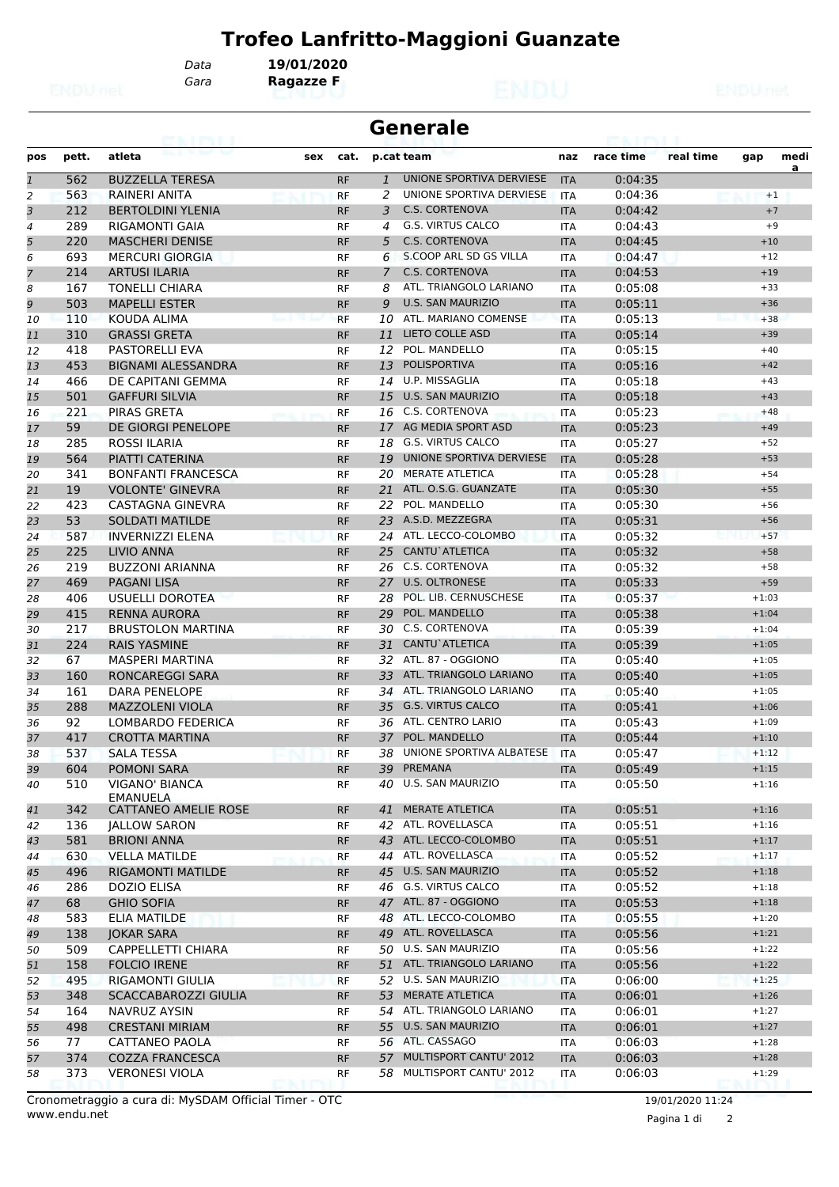*Gara* **Ragazze F**

*Data* **19/01/2020**

|                |       | 63. I KYLI                  |     |           |                | <b>Generale</b>                                |            |           |           |         |      |
|----------------|-------|-----------------------------|-----|-----------|----------------|------------------------------------------------|------------|-----------|-----------|---------|------|
| pos            | pett. | atleta                      | sex | cat.      |                | p.cat team                                     | naz        | race time | real time | gap     | medi |
| $\mathbf{1}$   | 562   | <b>BUZZELLA TERESA</b>      |     | <b>RF</b> | $\mathbf{1}$   | UNIONE SPORTIVA DERVIESE                       | <b>ITA</b> | 0:04:35   |           |         | a    |
| 2              | 563   | RAINERI ANITA               |     | <b>RF</b> | 2              | UNIONE SPORTIVA DERVIESE                       | <b>ITA</b> | 0:04:36   |           |         | $+1$ |
| 3              | 212   | <b>BERTOLDINI YLENIA</b>    |     | <b>RF</b> | 3              | <b>C.S. CORTENOVA</b>                          | <b>ITA</b> | 0:04:42   |           |         | $+7$ |
| $\overline{a}$ | 289   | <b>RIGAMONTI GAIA</b>       |     | RF        | 4              | <b>G.S. VIRTUS CALCO</b>                       | <b>ITA</b> | 0:04:43   |           |         | $+9$ |
| 5              | 220   | <b>MASCHERI DENISE</b>      |     | <b>RF</b> | 5              | <b>C.S. CORTENOVA</b>                          | <b>ITA</b> | 0:04:45   |           | $+10$   |      |
| 6              | 693   | <b>MERCURI GIORGIA</b>      |     | RF        | 6              | S.COOP ARL SD GS VILLA                         | <b>ITA</b> | 0:04:47   |           | $+12$   |      |
| $\overline{7}$ | 214   | <b>ARTUSI ILARIA</b>        |     | <b>RF</b> | $\overline{7}$ | <b>C.S. CORTENOVA</b>                          | <b>ITA</b> | 0:04:53   |           | $+19$   |      |
| 8              | 167   | <b>TONELLI CHIARA</b>       |     | RF        | 8              | ATL. TRIANGOLO LARIANO                         | <b>ITA</b> | 0:05:08   |           | $+33$   |      |
| 9              | 503   | <b>MAPELLI ESTER</b>        |     | <b>RF</b> | 9              | <b>U.S. SAN MAURIZIO</b>                       | <b>ITA</b> | 0:05:11   |           | $+36$   |      |
| 10             | 110   | KOUDA ALIMA                 |     | <b>RF</b> | 10             | ATL. MARIANO COMENSE                           | <b>ITA</b> | 0:05:13   |           | $+38$   |      |
| 11             | 310   | <b>GRASSI GRETA</b>         |     | <b>RF</b> | 11             | <b>LIETO COLLE ASD</b>                         | <b>ITA</b> | 0:05:14   |           | $+39$   |      |
| 12             | 418   | <b>PASTORELLI EVA</b>       |     | RF        | 12             | POL. MANDELLO                                  | ITA        | 0:05:15   |           | $+40$   |      |
| 13             | 453   | <b>BIGNAMI ALESSANDRA</b>   |     | <b>RF</b> | 13             | <b>POLISPORTIVA</b>                            | <b>ITA</b> | 0:05:16   |           | $+42$   |      |
| 14             | 466   | DE CAPITANI GEMMA           |     | <b>RF</b> | 14             | U.P. MISSAGLIA                                 | <b>ITA</b> | 0:05:18   |           | $+43$   |      |
| 15             | 501   | <b>GAFFURI SILVIA</b>       |     | <b>RF</b> | 15             | <b>U.S. SAN MAURIZIO</b>                       | <b>ITA</b> | 0:05:18   |           | $+43$   |      |
| 16             | 221   | PIRAS GRETA                 |     | RF        |                | 16 C.S. CORTENOVA                              | <b>ITA</b> | 0:05:23   |           | $+48$   |      |
| 17             | 59    | DE GIORGI PENELOPE          |     | <b>RF</b> | 17             | AG MEDIA SPORT ASD                             | <b>ITA</b> | 0:05:23   |           | $+49$   |      |
| 18             | 285   | <b>ROSSI ILARIA</b>         |     | RF        | 18             | <b>G.S. VIRTUS CALCO</b>                       | <b>ITA</b> | 0:05:27   |           | $+52$   |      |
| 19             | 564   | PIATTI CATERINA             |     | <b>RF</b> | 19             | UNIONE SPORTIVA DERVIESE                       | <b>ITA</b> | 0:05:28   |           | $+53$   |      |
| 20             | 341   | <b>BONFANTI FRANCESCA</b>   |     | <b>RF</b> | 20             | MERATE ATLETICA                                | <b>ITA</b> | 0:05:28   |           | $+54$   |      |
| 21             | 19    | <b>VOLONTE' GINEVRA</b>     |     | <b>RF</b> | 21             | ATL. O.S.G. GUANZATE                           | <b>ITA</b> | 0:05:30   |           | $+55$   |      |
| 22             | 423   | CASTAGNA GINEVRA            |     | RF        | 22             | POL. MANDELLO                                  | <b>ITA</b> | 0:05:30   |           | $+56$   |      |
| 23             | 53    | <b>SOLDATI MATILDE</b>      |     | <b>RF</b> | 23             | A.S.D. MEZZEGRA                                | <b>ITA</b> | 0:05:31   |           | $+56$   |      |
| 24             | 587   | <b>INVERNIZZI ELENA</b>     |     | <b>RF</b> | 24             | ATL. LECCO-COLOMBO                             | <b>ITA</b> | 0:05:32   |           | $+57$   |      |
| 25             | 225   | LIVIO ANNA                  |     | <b>RF</b> | 25             | CANTU`ATLETICA                                 | <b>ITA</b> | 0:05:32   |           | $+58$   |      |
| 26             | 219   | <b>BUZZONI ARIANNA</b>      |     | <b>RF</b> | 26             | <b>C.S. CORTENOVA</b>                          | <b>ITA</b> | 0:05:32   |           | $+58$   |      |
| 27             | 469   | <b>PAGANI LISA</b>          |     | <b>RF</b> | 27             | <b>U.S. OLTRONESE</b>                          | <b>ITA</b> | 0:05:33   |           | $+59$   |      |
| 28             | 406   | USUELLI DOROTEA             |     | RF        | 28             | POL. LIB. CERNUSCHESE                          | <b>ITA</b> | 0:05:37   |           | $+1:03$ |      |
| 29             | 415   | <b>RENNA AURORA</b>         |     | <b>RF</b> | 29             | POL. MANDELLO                                  | <b>ITA</b> | 0:05:38   |           | $+1:04$ |      |
| 30             | 217   | <b>BRUSTOLON MARTINA</b>    |     | RF        | 30             | C.S. CORTENOVA                                 | ITA        | 0:05:39   |           | $+1:04$ |      |
| 31             | 224   | <b>RAIS YASMINE</b>         |     | <b>RF</b> | 31             | CANTU`ATLETICA                                 | <b>ITA</b> | 0:05:39   |           | $+1:05$ |      |
| 32             | 67    | <b>MASPERI MARTINA</b>      |     | <b>RF</b> | 32             | ATL. 87 - OGGIONO                              | <b>ITA</b> | 0:05:40   |           | $+1:05$ |      |
| 33             | 160   | <b>RONCAREGGI SARA</b>      |     | <b>RF</b> | 33             | ATL. TRIANGOLO LARIANO                         | <b>ITA</b> | 0:05:40   |           | $+1:05$ |      |
| 34             | 161   | DARA PENELOPE               |     | RF        |                | 34 ATL. TRIANGOLO LARIANO                      | <b>ITA</b> | 0:05:40   |           | $+1:05$ |      |
| 35             | 288   | <b>MAZZOLENI VIOLA</b>      |     | <b>RF</b> | 35             | <b>G.S. VIRTUS CALCO</b>                       | <b>ITA</b> | 0:05:41   |           | $+1:06$ |      |
| 36             | 92    | <b>LOMBARDO FEDERICA</b>    |     | RF        | 36             | ATL. CENTRO LARIO                              | ITA        | 0:05:43   |           | $+1:09$ |      |
| 37             | 417   | <b>CROTTA MARTINA</b>       |     | <b>RF</b> |                | 37 POL. MANDELLO                               | <b>ITA</b> | 0:05:44   |           | $+1:10$ |      |
| 38             | 537   | <b>SALA TESSA</b>           |     | <b>RF</b> |                | 38 UNIONE SPORTIVA ALBATESE ITA                |            | 0:05:47   |           | $+1:12$ |      |
| 39             | 604   | <b>POMONI SARA</b>          |     | RF        |                | 39 PREMANA                                     | <b>ITA</b> | 0:05:49   |           | $+1:15$ |      |
| 40             | 510   | VIGANO' BIANCA              |     | RF        |                | 40 U.S. SAN MAURIZIO                           | ITA        | 0:05:50   |           | $+1:16$ |      |
|                |       | EMANUELA                    |     |           |                |                                                |            |           |           |         |      |
| 41             | 342   | <b>CATTANEO AMELIE ROSE</b> |     | <b>RF</b> |                | 41 MERATE ATLETICA                             | <b>ITA</b> | 0:05:51   |           | $+1:16$ |      |
| 42             | 136   | <b>JALLOW SARON</b>         |     | RF        |                | 42 ATL. ROVELLASCA                             | ITA        | 0:05:51   |           | $+1:16$ |      |
| 43             | 581   | <b>BRIONI ANNA</b>          |     | <b>RF</b> |                | 43 ATL. LECCO-COLOMBO                          | <b>ITA</b> | 0:05:51   |           | $+1:17$ |      |
| 44             | 630   | <b>VELLA MATILDE</b>        |     | RF        |                | 44 ATL. ROVELLASCA<br><b>U.S. SAN MAURIZIO</b> | ITA        | 0:05:52   |           | $+1:17$ |      |
| 45             | 496   | <b>RIGAMONTI MATILDE</b>    |     | <b>RF</b> | 45             | 46 G.S. VIRTUS CALCO                           | <b>ITA</b> | 0:05:52   |           | $+1:18$ |      |
| 46             | 286   | <b>DOZIO ELISA</b>          |     | RF        |                | 47 ATL. 87 - OGGIONO                           | ITA        | 0:05:52   |           | $+1:18$ |      |
| 47             | 68    | <b>GHIO SOFIA</b>           |     | <b>RF</b> |                |                                                | <b>ITA</b> | 0:05:53   |           | $+1:18$ |      |
| 48             | 583   | ELIA MATILDE                |     | RF        |                | 48 ATL. LECCO-COLOMBO                          | ITA        | 0:05:55   |           | $+1:20$ |      |
| 49             | 138   | <b>JOKAR SARA</b>           |     | <b>RF</b> |                | 49 ATL. ROVELLASCA                             | <b>ITA</b> | 0:05:56   |           | $+1:21$ |      |
| 50             | 509   | CAPPELLETTI CHIARA          |     | RF        |                | 50 U.S. SAN MAURIZIO                           | ITA        | 0:05:56   |           | $+1:22$ |      |
| 51             | 158   | <b>FOLCIO IRENE</b>         |     | <b>RF</b> |                | 51 ATL. TRIANGOLO LARIANO                      | <b>ITA</b> | 0:05:56   |           | $+1:22$ |      |
| 52             | 495   | <b>RIGAMONTI GIULIA</b>     |     | <b>RF</b> |                | 52 U.S. SAN MAURIZIO                           | ITA        | 0:06:00   |           | $+1:25$ |      |
| 53             | 348   | SCACCABAROZZI GIULIA        |     | <b>RF</b> |                | 53 MERATE ATLETICA                             | <b>ITA</b> | 0:06:01   |           | $+1:26$ |      |
| 54             | 164   | NAVRUZ AYSIN                |     | RF        |                | 54 ATL. TRIANGOLO LARIANO                      | ITA        | 0:06:01   |           | $+1:27$ |      |
| 55             | 498   | <b>CRESTANI MIRIAM</b>      |     | <b>RF</b> |                | 55 U.S. SAN MAURIZIO                           | <b>ITA</b> | 0:06:01   |           | $+1:27$ |      |
| 56             | 77    | CATTANEO PAOLA              |     | RF        |                | 56 ATL. CASSAGO                                | ITA        | 0:06:03   |           | $+1:28$ |      |
| 57             | 374   | <b>COZZA FRANCESCA</b>      |     | <b>RF</b> |                | 57 MULTISPORT CANTU' 2012                      | <b>ITA</b> | 0:06:03   |           | $+1:28$ |      |
| 58             | 373   | <b>VERONESI VIOLA</b>       |     | RF        |                | 58 MULTISPORT CANTU' 2012                      | <b>ITA</b> | 0:06:03   |           | $+1:29$ |      |

www.endu.net Cronometraggio a cura di: MySDAM Official Timer - OTC 19/01/2020 11:24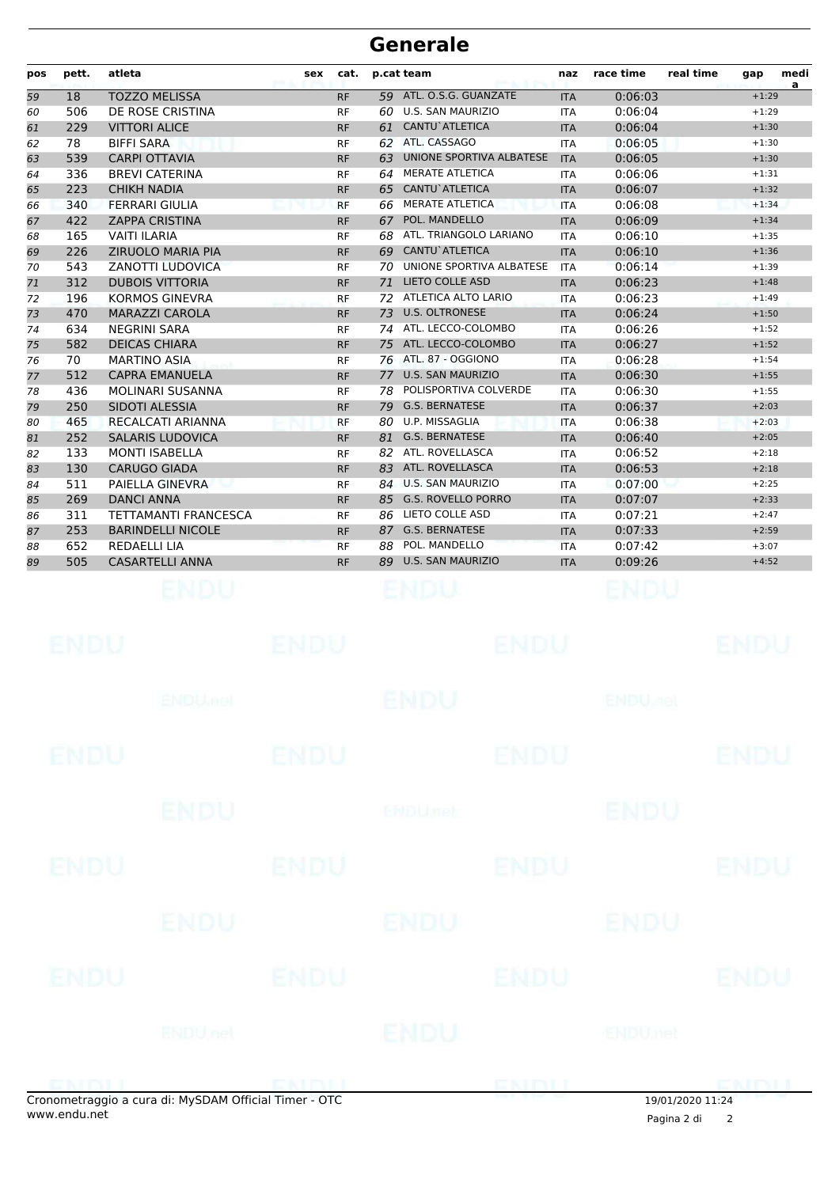| pos | pett. | atleta                      | sex | cat.      | p.cat team |                          | naz        | race time | real time | gap     | medi<br>a |
|-----|-------|-----------------------------|-----|-----------|------------|--------------------------|------------|-----------|-----------|---------|-----------|
| 59  | 18    | <b>TOZZO MELISSA</b>        |     | <b>RF</b> | 59         | ATL. O.S.G. GUANZATE     | <b>ITA</b> | 0:06:03   |           | $+1:29$ |           |
| 60  | 506   | DE ROSE CRISTINA            |     | <b>RF</b> | 60         | <b>U.S. SAN MAURIZIO</b> | <b>ITA</b> | 0:06:04   |           | $+1:29$ |           |
| 61  | 229   | <b>VITTORI ALICE</b>        |     | <b>RF</b> | 61         | <b>CANTU</b> ATLETICA    | <b>ITA</b> | 0:06:04   |           | $+1:30$ |           |
| 62  | 78    | <b>BIFFI SARA</b>           |     | <b>RF</b> |            | 62 ATL. CASSAGO          | <b>ITA</b> | 0:06:05   |           | $+1:30$ |           |
| 63  | 539   | <b>CARPI OTTAVIA</b>        |     | <b>RF</b> | 63         | UNIONE SPORTIVA ALBATESE | <b>ITA</b> | 0:06:05   |           | $+1:30$ |           |
| 64  | 336   | <b>BREVI CATERINA</b>       |     | <b>RF</b> | 64         | <b>MERATE ATLETICA</b>   | <b>ITA</b> | 0:06:06   |           | $+1:31$ |           |
| 65  | 223   | <b>CHIKH NADIA</b>          |     | <b>RF</b> | 65         | CANTU`ATLETICA           | <b>ITA</b> | 0:06:07   |           | $+1:32$ |           |
| 66  | 340   | <b>FERRARI GIULIA</b>       |     | <b>RF</b> | 66         | <b>MERATE ATLETICA</b>   | <b>ITA</b> | 0:06:08   |           | $+1:34$ |           |
| 67  | 422   | <b>ZAPPA CRISTINA</b>       |     | <b>RF</b> | 67         | POL. MANDELLO            | <b>ITA</b> | 0:06:09   |           | $+1:34$ |           |
| 68  | 165   | <b>VAITI ILARIA</b>         |     | <b>RF</b> | 68         | ATL. TRIANGOLO LARIANO   | <b>ITA</b> | 0:06:10   |           | $+1:35$ |           |
| 69  | 226   | <b>ZIRUOLO MARIA PIA</b>    |     | <b>RF</b> |            | 69 CANTU`ATLETICA        | <b>ITA</b> | 0:06:10   |           | $+1:36$ |           |
| 70  | 543   | <b>ZANOTTI LUDOVICA</b>     |     | <b>RF</b> | 70         | UNIONE SPORTIVA ALBATESE | <b>ITA</b> | 0:06:14   |           | $+1:39$ |           |
| 71  | 312   | <b>DUBOIS VITTORIA</b>      |     | <b>RF</b> | 71         | LIETO COLLE ASD          | <b>ITA</b> | 0:06:23   |           | $+1:48$ |           |
| 72  | 196   | <b>KORMOS GINEVRA</b>       |     | <b>RF</b> | 72         | ATLETICA ALTO LARIO      | <b>ITA</b> | 0:06:23   |           | $+1:49$ |           |
| 73  | 470   | <b>MARAZZI CAROLA</b>       |     | <b>RF</b> | 73         | <b>U.S. OLTRONESE</b>    | <b>ITA</b> | 0:06:24   |           | $+1:50$ |           |
| 74  | 634   | <b>NEGRINI SARA</b>         |     | <b>RF</b> | 74         | ATL. LECCO-COLOMBO       | <b>ITA</b> | 0:06:26   |           | $+1:52$ |           |
| 75  | 582   | <b>DEICAS CHIARA</b>        |     | <b>RF</b> |            | 75 ATL. LECCO-COLOMBO    | <b>ITA</b> | 0:06:27   |           | $+1:52$ |           |
| 76  | 70    | <b>MARTINO ASIA</b>         |     | <b>RF</b> |            | 76 ATL. 87 - OGGIONO     | <b>ITA</b> | 0:06:28   |           | $+1:54$ |           |
| 77  | 512   | <b>CAPRA EMANUELA</b>       |     | <b>RF</b> | 77         | <b>U.S. SAN MAURIZIO</b> | <b>ITA</b> | 0:06:30   |           | $+1:55$ |           |
| 78  | 436   | MOLINARI SUSANNA            |     | <b>RF</b> | 78.        | POLISPORTIVA COLVERDE    | <b>ITA</b> | 0:06:30   |           | $+1:55$ |           |
| 79  | 250   | SIDOTI ALESSIA              |     | <b>RF</b> | 79         | <b>G.S. BERNATESE</b>    | <b>ITA</b> | 0:06:37   |           | $+2:03$ |           |
| 80  | 465   | RECALCATI ARIANNA           |     | <b>RF</b> | 80         | U.P. MISSAGLIA           | <b>ITA</b> | 0:06:38   |           | $+2:03$ |           |
| 81  | 252   | <b>SALARIS LUDOVICA</b>     |     | <b>RF</b> | 81         | <b>G.S. BERNATESE</b>    | <b>ITA</b> | 0:06:40   |           | $+2:05$ |           |
| 82  | 133   | <b>MONTI ISABELLA</b>       |     | <b>RF</b> |            | 82 ATL. ROVELLASCA       | <b>ITA</b> | 0:06:52   |           | $+2:18$ |           |
| 83  | 130   | <b>CARUGO GIADA</b>         |     | <b>RF</b> |            | 83 ATL. ROVELLASCA       | <b>ITA</b> | 0:06:53   |           | $+2:18$ |           |
| 84  | 511   | PAIELLA GINEVRA             |     | <b>RF</b> |            | 84 U.S. SAN MAURIZIO     | <b>ITA</b> | 0:07:00   |           | $+2:25$ |           |
| 85  | 269   | <b>DANCI ANNA</b>           |     | <b>RF</b> |            | 85 G.S. ROVELLO PORRO    | <b>ITA</b> | 0:07:07   |           | $+2:33$ |           |
| 86  | 311   | <b>TETTAMANTI FRANCESCA</b> |     | <b>RF</b> | 86         | LIETO COLLE ASD          | <b>ITA</b> | 0:07:21   |           | $+2:47$ |           |
| 87  | 253   | <b>BARINDELLI NICOLE</b>    |     | <b>RF</b> | 87         | <b>G.S. BERNATESE</b>    | <b>ITA</b> | 0:07:33   |           | $+2:59$ |           |
| 88  | 652   | <b>REDAELLI LIA</b>         |     | <b>RF</b> | 88         | POL. MANDELLO            | <b>ITA</b> | 0:07:42   |           | $+3:07$ |           |
| 89  | 505   | <b>CASARTELLI ANNA</b>      |     | <b>RF</b> | 89         | <b>U.S. SAN MAURIZIO</b> | <b>ITA</b> | 0:09:26   |           | $+4:52$ |           |
|     |       |                             |     |           |            |                          |            |           |           |         |           |

|             | onometraggio a cura di: MySDAM Official Timer - OTC |             |                | ENDLI       | $10/01/2020$ $11.24$      |             |
|-------------|-----------------------------------------------------|-------------|----------------|-------------|---------------------------|-------------|
|             | <b>ENDU</b> nel                                     |             | ENDU           |             | ENDUmet                   |             |
| <b>ENDU</b> |                                                     | <b>ENDU</b> |                | <b>ENDU</b> |                           | <b>ENDU</b> |
|             | <b>ENDU</b>                                         |             | ENDU           |             | ENDU                      |             |
| ENDU        |                                                     | <b>ENDU</b> |                | <b>ENDU</b> |                           | <b>ENDU</b> |
|             | <b>ENDU</b>                                         |             | <b>ENDUnet</b> |             | <b>ENDU</b>               |             |
| <b>ENDU</b> |                                                     | <b>ENDU</b> |                | <b>ENDU</b> |                           | <b>ENDU</b> |
|             | <b>ENDUMBL</b>                                      |             | ENDU           |             | <b>ENDU<sub>DEL</sub></b> |             |
| <b>ENDU</b> |                                                     | <b>ENDU</b> |                | <b>ENDU</b> |                           | <b>ENDU</b> |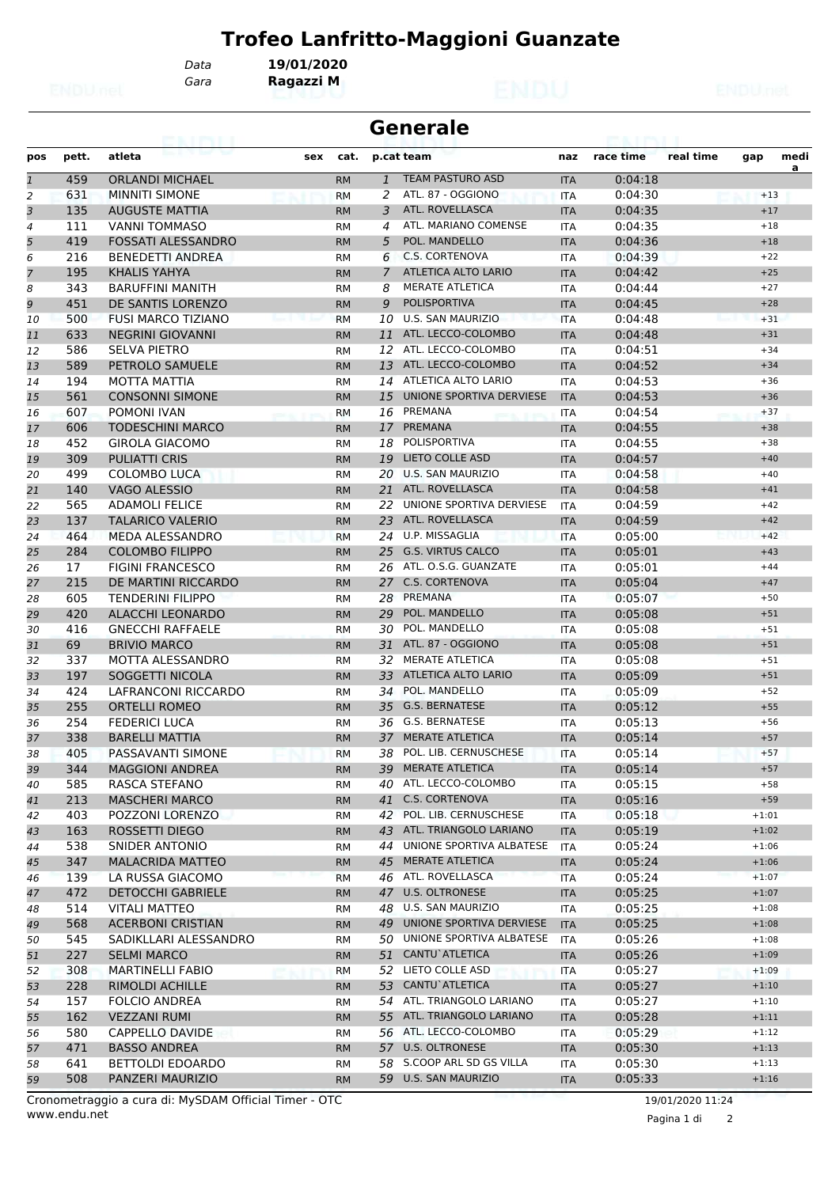*Gara* **Ragazzi M** *Data* **19/01/2020**

| <b>Generale</b><br>69. I PY I. I |       |                           |     |           |                |                             |            |           |           |         |           |
|----------------------------------|-------|---------------------------|-----|-----------|----------------|-----------------------------|------------|-----------|-----------|---------|-----------|
| pos                              | pett. | atleta                    | sex | cat.      |                | p.cat team                  | naz        | race time | real time | gap     | medi<br>a |
| $\mathbf{1}$                     | 459   | <b>ORLANDI MICHAEL</b>    |     | <b>RM</b> | $\mathbf{1}$   | <b>TEAM PASTURO ASD</b>     | <b>ITA</b> | 0:04:18   |           |         |           |
| 2                                | 631   | <b>MINNITI SIMONE</b>     |     | <b>RM</b> | 2              | ATL. 87 - OGGIONO           | <b>ITA</b> | 0:04:30   |           | $+13$   |           |
| 3                                | 135   | <b>AUGUSTE MATTIA</b>     |     | <b>RM</b> | 3              | ATL. ROVELLASCA             | <b>ITA</b> | 0:04:35   |           | $+17$   |           |
| 4                                | 111   | <b>VANNI TOMMASO</b>      |     | <b>RM</b> | 4              | ATL. MARIANO COMENSE        | <b>ITA</b> | 0:04:35   |           | $+18$   |           |
| 5                                | 419   | <b>FOSSATI ALESSANDRO</b> |     | <b>RM</b> | 5              | POL. MANDELLO               | <b>ITA</b> | 0:04:36   |           | $+18$   |           |
| 6                                | 216   | <b>BENEDETTI ANDREA</b>   |     | RM        | 6              | C.S. CORTENOVA              | ITA        | 0:04:39   |           | $+22$   |           |
| $\overline{7}$                   | 195   | <b>KHALIS YAHYA</b>       |     | <b>RM</b> | $\overline{7}$ | <b>ATLETICA ALTO LARIO</b>  | <b>ITA</b> | 0:04:42   |           | $+25$   |           |
| 8                                | 343   | <b>BARUFFINI MANITH</b>   |     | <b>RM</b> | 8              | <b>MERATE ATLETICA</b>      | <b>ITA</b> | 0:04:44   |           | $+27$   |           |
| 9                                | 451   | DE SANTIS LORENZO         |     | <b>RM</b> | 9              | <b>POLISPORTIVA</b>         | <b>ITA</b> | 0:04:45   |           | $+28$   |           |
| 10                               | 500   | <b>FUSI MARCO TIZIANO</b> |     | <b>RM</b> | 10             | U.S. SAN MAURIZIO           | <b>ITA</b> | 0:04:48   |           | $+31$   |           |
| 11                               | 633   | <b>NEGRINI GIOVANNI</b>   |     | <b>RM</b> | 11             | ATL. LECCO-COLOMBO          | <b>ITA</b> | 0:04:48   |           | $+31$   |           |
| 12                               | 586   | <b>SELVA PIETRO</b>       |     | RM        | 12             | ATL. LECCO-COLOMBO          | ITA        | 0:04:51   |           | $+34$   |           |
| 13                               | 589   | PETROLO SAMUELE           |     | <b>RM</b> |                | 13 ATL. LECCO-COLOMBO       | <b>ITA</b> | 0:04:52   |           | $+34$   |           |
| 14                               | 194   | MOTTA MATTIA              |     | <b>RM</b> |                | 14 ATLETICA ALTO LARIO      | <b>ITA</b> | 0:04:53   |           | $+36$   |           |
| 15                               | 561   | <b>CONSONNI SIMONE</b>    |     | <b>RM</b> | 15             | UNIONE SPORTIVA DERVIESE    | <b>ITA</b> | 0:04:53   |           | $+36$   |           |
| 16                               | 607   | POMONI IVAN               |     | RM        | 16             | PREMANA                     | ITA        | 0:04:54   |           | $+37$   |           |
| 17                               | 606   | TODESCHINI MARCO          |     | <b>RM</b> | 17             | <b>PREMANA</b>              | <b>ITA</b> | 0:04:55   |           | $+38$   |           |
| 18                               | 452   | <b>GIROLA GIACOMO</b>     |     | RM        | 18             | POLISPORTIVA                | <b>ITA</b> | 0:04:55   |           | $+38$   |           |
| 19                               | 309   | <b>PULIATTI CRIS</b>      |     | <b>RM</b> | 19             | <b>LIETO COLLE ASD</b>      | <b>ITA</b> | 0:04:57   |           | $+40$   |           |
| 20                               | 499   | <b>COLOMBO LUCA</b>       |     | <b>RM</b> | 20             | <b>U.S. SAN MAURIZIO</b>    | <b>ITA</b> | 0:04:58   |           | $+40$   |           |
| 21                               | 140   | VAGO ALESSIO              |     | <b>RM</b> | 21             | ATL. ROVELLASCA             | <b>ITA</b> | 0:04:58   |           | $+41$   |           |
| 22                               | 565   | <b>ADAMOLI FELICE</b>     |     | <b>RM</b> | 22             | UNIONE SPORTIVA DERVIESE    | <b>ITA</b> | 0:04:59   |           | $+42$   |           |
| 23                               | 137   | TALARICO VALERIO          |     | <b>RM</b> | 23             | ATL. ROVELLASCA             | <b>ITA</b> | 0:04:59   |           | $+42$   |           |
| 24                               | 464   | MEDA ALESSANDRO           |     | <b>RM</b> | 24             | U.P. MISSAGLIA              | <b>ITA</b> | 0:05:00   |           | $+42$   |           |
| 25                               | 284   | <b>COLOMBO FILIPPO</b>    |     | <b>RM</b> | 25             | <b>G.S. VIRTUS CALCO</b>    | <b>ITA</b> | 0:05:01   |           | $+43$   |           |
| 26                               | 17    | <b>FIGINI FRANCESCO</b>   |     | <b>RM</b> |                | 26 ATL. O.S.G. GUANZATE     | <b>ITA</b> | 0:05:01   |           | $+44$   |           |
| 27                               | 215   | DE MARTINI RICCARDO       |     | <b>RM</b> | 27             | <b>C.S. CORTENOVA</b>       | <b>ITA</b> | 0:05:04   |           | $+47$   |           |
| 28                               | 605   | <b>TENDERINI FILIPPO</b>  |     | <b>RM</b> | 28             | PREMANA                     | <b>ITA</b> | 0:05:07   |           | $+50$   |           |
| 29                               | 420   | <b>ALACCHI LEONARDO</b>   |     | <b>RM</b> | 29             | POL. MANDELLO               | <b>ITA</b> | 0:05:08   |           | $+51$   |           |
| 30                               | 416   | <b>GNECCHI RAFFAELE</b>   |     | RM        | 30             | POL. MANDELLO               | ITA        | 0:05:08   |           | $+51$   |           |
| 31                               | 69    | <b>BRIVIO MARCO</b>       |     | <b>RM</b> |                | 31 ATL. 87 - OGGIONO        | <b>ITA</b> | 0:05:08   |           | $+51$   |           |
| 32                               | 337   | MOTTA ALESSANDRO          |     | <b>RM</b> | 32             | <b>MERATE ATLETICA</b>      | <b>ITA</b> | 0:05:08   |           | $+51$   |           |
| 33                               | 197   | SOGGETTI NICOLA           |     | <b>RM</b> |                | 33 ATLETICA ALTO LARIO      | <b>ITA</b> | 0:05:09   |           | $+51$   |           |
| 34                               | 424   | LAFRANCONI RICCARDO       |     | <b>RM</b> | 34             | POL. MANDELLO               | <b>ITA</b> | 0:05:09   |           | $+52$   |           |
| 35                               | 255   | <b>ORTELLI ROMEO</b>      |     | <b>RM</b> | 35             | <b>G.S. BERNATESE</b>       | <b>ITA</b> | 0:05:12   |           | $+55$   |           |
| 36                               | 254   | <b>FEDERICI LUCA</b>      |     | RM        |                | 36 G.S. BERNATESE           | ITA        | 0:05:13   |           | $+56$   |           |
| 37                               | 338   | <b>BARELLI MATTIA</b>     |     | <b>RM</b> |                | 37 MERATE ATLETICA          | <b>ITA</b> | 0:05:14   |           | $+57$   |           |
| 38                               | 405   | PASSAVANTI SIMONE         |     | <b>RM</b> |                | 38 POL. LIB. CERNUSCHESE    | <b>ITA</b> | 0:05:14   |           | $+57$   |           |
| 39                               | 344   | <b>MAGGIONI ANDREA</b>    |     | <b>RM</b> |                | 39 MERATE ATLETICA          | <b>ITA</b> | 0:05:14   |           | $+57$   |           |
| 40                               | 585   | RASCA STEFANO             |     | <b>RM</b> |                | 40 ATL. LECCO-COLOMBO       | ITA        | 0:05:15   |           | $+58$   |           |
| 41                               | 213   | <b>MASCHERI MARCO</b>     |     | <b>RM</b> | 41             | <b>C.S. CORTENOVA</b>       | <b>ITA</b> | 0:05:16   |           | $+59$   |           |
| 42                               | 403   | POZZONI LORENZO           |     | RМ        |                | 42 POL. LIB. CERNUSCHESE    | <b>ITA</b> | 0:05:18   |           | $+1:01$ |           |
| 43                               | 163   | ROSSETTI DIEGO            |     | <b>RM</b> |                | 43 ATL. TRIANGOLO LARIANO   | <b>ITA</b> | 0:05:19   |           | $+1:02$ |           |
| 44                               | 538   | SNIDER ANTONIO            |     | RM        | 44             | UNIONE SPORTIVA ALBATESE    | ITA        | 0:05:24   |           | $+1:06$ |           |
| 45                               | 347   | <b>MALACRIDA MATTEO</b>   |     | <b>RM</b> |                | 45 MERATE ATLETICA          | <b>ITA</b> | 0:05:24   |           | $+1:06$ |           |
| 46                               | 139   | LA RUSSA GIACOMO          |     | <b>RM</b> |                | 46 ATL. ROVELLASCA          | <b>ITA</b> | 0:05:24   |           | $+1:07$ |           |
| 47                               | 472   | <b>DETOCCHI GABRIELE</b>  |     | <b>RM</b> | 47             | U.S. OLTRONESE              | <b>ITA</b> | 0:05:25   |           | $+1:07$ |           |
| 48                               | 514   | <b>VITALI MATTEO</b>      |     | RМ        | 48             | U.S. SAN MAURIZIO           | ITA        | 0:05:25   |           | $+1:08$ |           |
| 49                               | 568   | <b>ACERBONI CRISTIAN</b>  |     | <b>RM</b> | 49             | UNIONE SPORTIVA DERVIESE    | <b>ITA</b> | 0:05:25   |           | $+1:08$ |           |
| 50                               | 545   | SADIKLLARI ALESSANDRO     |     | RM        |                | 50 UNIONE SPORTIVA ALBATESE | ITA        | 0:05:26   |           | $+1:08$ |           |
| 51                               | 227   | <b>SELMI MARCO</b>        |     | <b>RM</b> |                | 51 CANTU ATLETICA           | <b>ITA</b> | 0:05:26   |           | $+1:09$ |           |
| 52                               | 308   | MARTINELLI FABIO          |     | <b>RM</b> |                | 52 LIETO COLLE ASD          | <b>ITA</b> | 0:05:27   |           | $+1:09$ |           |
| 53                               | 228   | RIMOLDI ACHILLE           |     | <b>RM</b> | 53             | CANTU`ATLETICA              | <b>ITA</b> | 0:05:27   |           | $+1:10$ |           |
| 54                               | 157   | <b>FOLCIO ANDREA</b>      |     | RМ        |                | 54 ATL. TRIANGOLO LARIANO   | <b>ITA</b> | 0:05:27   |           | $+1:10$ |           |
| 55                               | 162   | <b>VEZZANI RUMI</b>       |     | <b>RM</b> |                | 55 ATL. TRIANGOLO LARIANO   | <b>ITA</b> | 0:05:28   |           | $+1:11$ |           |
| 56                               | 580   | <b>CAPPELLO DAVIDE</b>    |     | RM        |                | 56 ATL. LECCO-COLOMBO       | ITA        | 0:05:29   |           | $+1:12$ |           |
| 57                               | 471   | <b>BASSO ANDREA</b>       |     | <b>RM</b> |                | 57 U.S. OLTRONESE           | <b>ITA</b> | 0:05:30   |           | $+1:13$ |           |
| 58                               | 641   | BETTOLDI EDOARDO          |     | RM        |                | 58 S.COOP ARL SD GS VILLA   | ITA        | 0:05:30   |           | $+1:13$ |           |
| 59                               | 508   | PANZERI MAURIZIO          |     | <b>RM</b> |                | 59 U.S. SAN MAURIZIO        | <b>ITA</b> | 0:05:33   |           | $+1:16$ |           |

www.endu.net Cronometraggio a cura di: MySDAM Official Timer - OTC 19/01/2020 11:24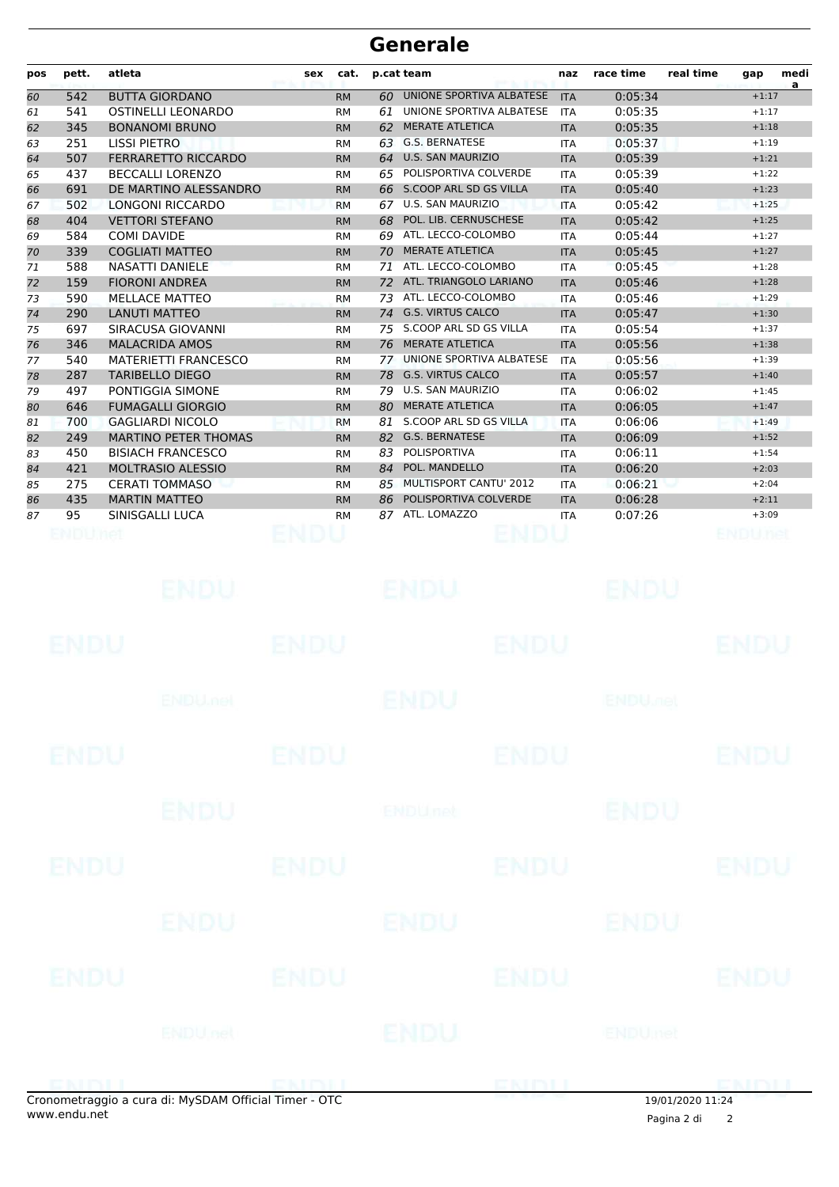| pos | pett.       | atleta                      | sex         | cat.      |    | p.cat team                | naz        | race time                 | real time | gap          | medi |
|-----|-------------|-----------------------------|-------------|-----------|----|---------------------------|------------|---------------------------|-----------|--------------|------|
| 60  | 542         | <b>BUTTA GIORDANO</b>       |             | <b>RM</b> | 60 | UNIONE SPORTIVA ALBATESE  | <b>ITA</b> | 0:05:34                   |           | $+1:17$      | a    |
| 61  | 541         | OSTINELLI LEONARDO          |             | <b>RM</b> | 61 | UNIONE SPORTIVA ALBATESE  | <b>ITA</b> | 0:05:35                   |           | $+1:17$      |      |
| 62  | 345         | <b>BONANOMI BRUNO</b>       |             | <b>RM</b> | 62 | <b>MERATE ATLETICA</b>    | <b>ITA</b> | 0:05:35                   |           | $+1:18$      |      |
| 63  | 251         | LISSI PIETRO                |             | <b>RM</b> | 63 | <b>G.S. BERNATESE</b>     | <b>ITA</b> | 0:05:37                   |           | $+1:19$      |      |
| 64  | 507         | <b>FERRARETTO RICCARDO</b>  |             | <b>RM</b> | 64 | <b>U.S. SAN MAURIZIO</b>  | <b>ITA</b> | 0:05:39                   |           | $+1:21$      |      |
| 65  | 437         | <b>BECCALLI LORENZO</b>     |             | <b>RM</b> | 65 | POLISPORTIVA COLVERDE     | <b>ITA</b> | 0:05:39                   |           | $+1:22$      |      |
| 66  | 691         | DE MARTINO ALESSANDRO       |             | <b>RM</b> | 66 | S.COOP ARL SD GS VILLA    | <b>ITA</b> | 0:05:40                   |           | $+1:23$      |      |
| 67  | 502         | LONGONI RICCARDO            |             | <b>RM</b> | 67 | U.S. SAN MAURIZIO         | <b>ITA</b> | 0:05:42                   |           | $+1:25$      |      |
| 68  | 404         | <b>VETTORI STEFANO</b>      |             | <b>RM</b> | 68 | POL. LIB. CERNUSCHESE     | <b>ITA</b> | 0:05:42                   |           | $+1:25$      |      |
| 69  | 584         | <b>COMI DAVIDE</b>          |             | <b>RM</b> | 69 | ATL. LECCO-COLOMBO        | <b>ITA</b> | 0:05:44                   |           | $+1:27$      |      |
| 70  | 339         | <b>COGLIATI MATTEO</b>      |             | <b>RM</b> | 70 | <b>MERATE ATLETICA</b>    | <b>ITA</b> | 0:05:45                   |           | $+1:27$      |      |
| 71  | 588         | <b>NASATTI DANIELE</b>      |             | <b>RM</b> | 71 | ATL. LECCO-COLOMBO        | <b>ITA</b> | 0:05:45                   |           | $+1:28$      |      |
| 72  | 159         | <b>FIORONI ANDREA</b>       |             | <b>RM</b> | 72 | ATL. TRIANGOLO LARIANO    | <b>ITA</b> | 0:05:46                   |           | $+1:28$      |      |
| 73  | 590         | <b>MELLACE MATTEO</b>       |             | <b>RM</b> | 73 | ATL. LECCO-COLOMBO        | <b>ITA</b> | 0:05:46                   |           | $+1:29$      |      |
| 74  | 290         | <b>LANUTI MATTEO</b>        |             | <b>RM</b> | 74 | <b>G.S. VIRTUS CALCO</b>  | <b>ITA</b> | 0:05:47                   |           | $+1:30$      |      |
| 75  | 697         | SIRACUSA GIOVANNI           |             | <b>RM</b> |    | 75 S.COOP ARL SD GS VILLA | <b>ITA</b> | 0:05:54                   |           | $+1:37$      |      |
| 76  | 346         | <b>MALACRIDA AMOS</b>       |             | <b>RM</b> | 76 | <b>MERATE ATLETICA</b>    | <b>ITA</b> | 0:05:56                   |           | $+1:38$      |      |
| 77  | 540         | <b>MATERIETTI FRANCESCO</b> |             | <b>RM</b> | 77 | UNIONE SPORTIVA ALBATESE  | <b>ITA</b> | 0:05:56                   |           | $+1:39$      |      |
| 78  | 287         | <b>TARIBELLO DIEGO</b>      |             | <b>RM</b> | 78 | <b>G.S. VIRTUS CALCO</b>  | <b>ITA</b> | 0:05:57                   |           | $+1:40$      |      |
| 79  | 497         | PONTIGGIA SIMONE            |             | <b>RM</b> | 79 | U.S. SAN MAURIZIO         | <b>ITA</b> | 0:06:02                   |           | $+1:45$      |      |
| 80  | 646         | <b>FUMAGALLI GIORGIO</b>    |             | <b>RM</b> | 80 | <b>MERATE ATLETICA</b>    | <b>ITA</b> | 0:06:05                   |           | $+1:47$      |      |
| 81  | 700         | <b>GAGLIARDI NICOLO</b>     |             | <b>RM</b> | 81 | S.COOP ARL SD GS VILLA    | <b>ITA</b> | 0:06:06                   |           | $+1:49$      |      |
| 82  | 249         | <b>MARTINO PETER THOMAS</b> |             | <b>RM</b> |    | 82 G.S. BERNATESE         | <b>ITA</b> | 0:06:09                   |           | $+1:52$      |      |
| 83  | 450         | <b>BISIACH FRANCESCO</b>    |             | <b>RM</b> | 83 | POLISPORTIVA              | <b>ITA</b> | 0:06:11                   |           | $+1:54$      |      |
| 84  | 421         | <b>MOLTRASIO ALESSIO</b>    |             | <b>RM</b> | 84 | POL. MANDELLO             | <b>ITA</b> | 0:06:20                   |           | $+2:03$      |      |
| 85  | 275         | <b>CERATI TOMMASO</b>       |             | <b>RM</b> | 85 | MULTISPORT CANTU' 2012    | <b>ITA</b> | 0:06:21                   |           | $+2:04$      |      |
| 86  | 435         | <b>MARTIN MATTEO</b>        |             | <b>RM</b> | 86 | POLISPORTIVA COLVERDE     | <b>ITA</b> | 0:06:28                   |           | $+2:11$      |      |
| 87  | 95          | SINISGALLI LUCA             |             | <b>RM</b> | 87 | ATL. LOMAZZO              | ITA        | 0:07:26                   |           | $+3:09$      |      |
|     | ENDUMA      |                             |             |           |    | ENDI                      |            |                           |           | BNDUne       |      |
|     |             |                             |             |           |    |                           |            |                           |           |              |      |
|     |             | ENDU                        |             |           |    | ENDU                      |            | ENDU                      |           |              |      |
|     | ENDU        |                             | ENDU        |           |    | ENDU                      |            |                           |           | EN DI.       |      |
|     |             | <b>ENDUmet</b>              |             |           |    | <b>ENDU</b>               |            | <b>ENDU<sub>DER</sub></b> |           |              |      |
|     |             |                             |             |           |    |                           |            |                           |           |              |      |
|     | <b>ENDU</b> |                             | <b>ENDU</b> |           |    | <b>ENDU</b>               |            |                           |           | <b>ENDU</b>  |      |
|     |             | <b>ENDU</b>                 |             |           |    | <b>ENDU<sub>net</sub></b> |            | <b>ENDU</b>               |           |              |      |
|     | <b>ENDU</b> |                             | <b>ENDU</b> |           |    | <b>ENDU</b>               |            |                           |           | ENDU         |      |
|     |             | ENDU                        |             |           |    | ENDU                      |            | ENDU                      |           |              |      |
|     |             |                             |             |           |    |                           |            |                           |           |              |      |
|     | <b>ENDU</b> |                             | <b>ENDU</b> |           |    | <b>ENDU</b>               |            |                           |           | ENDU         |      |
|     |             | <b>ENDU</b> nel             |             |           |    | ENDU                      |            | ENDUmet                   |           |              |      |
|     | ENIBILI     |                             | ENDIL       |           |    | ENDIJ                     |            |                           |           | <b>EMPLI</b> |      |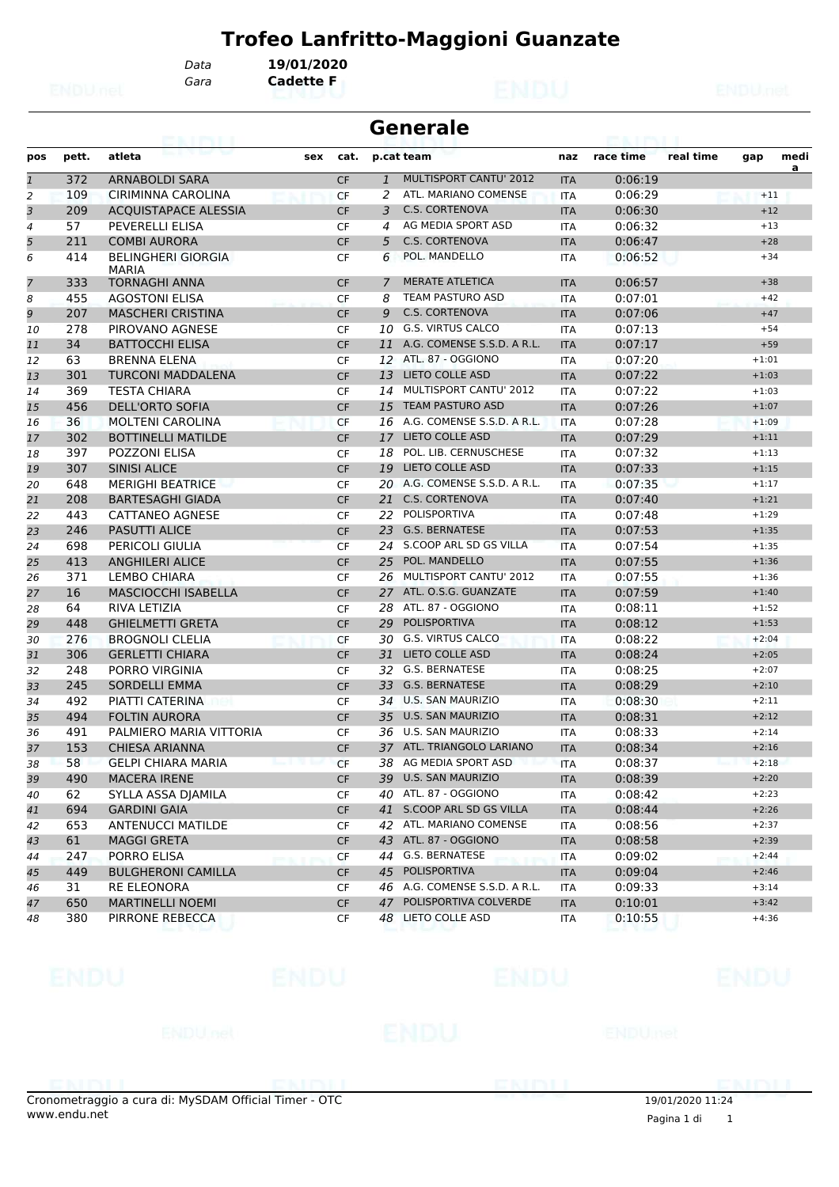*Gara* **Cadette F** *Data* **19/01/2020**

| <b>Generale</b> |  |
|-----------------|--|
|-----------------|--|

|                |       | atleta                                    |     |           |              |                               |            | race time | real time |         | medi |
|----------------|-------|-------------------------------------------|-----|-----------|--------------|-------------------------------|------------|-----------|-----------|---------|------|
| pos            | pett. |                                           | sex | cat.      |              | p.cat team                    | naz        |           |           | gap     | a    |
| $\mathbf{1}$   | 372   | <b>ARNABOLDI SARA</b>                     |     | <b>CF</b> | $\mathbf{1}$ | MULTISPORT CANTU' 2012        | <b>ITA</b> | 0:06:19   |           |         |      |
| $\overline{a}$ | 109   | CIRIMINNA CAROLINA                        |     | <b>CF</b> | 2            | ATL. MARIANO COMENSE          | <b>ITA</b> | 0:06:29   |           | $+11$   |      |
| 3              | 209   | <b>ACQUISTAPACE ALESSIA</b>               |     | <b>CF</b> | 3            | <b>C.S. CORTENOVA</b>         | <b>ITA</b> | 0:06:30   |           | $+12$   |      |
| 4              | 57    | PEVERELLI ELISA                           |     | <b>CF</b> | 4            | AG MEDIA SPORT ASD            | <b>ITA</b> | 0:06:32   |           | $+13$   |      |
| 5              | 211   | <b>COMBI AURORA</b>                       |     | <b>CF</b> | 5            | <b>C.S. CORTENOVA</b>         | <b>ITA</b> | 0:06:47   |           | $+28$   |      |
| 6              | 414   | <b>BELINGHERI GIORGIA</b><br><b>MARIA</b> |     | <b>CF</b> | 6            | POL. MANDELLO                 | <b>ITA</b> | 0:06:52   |           | $+34$   |      |
| 7              | 333   | <b>TORNAGHI ANNA</b>                      |     | <b>CF</b> | 7            | <b>MERATE ATLETICA</b>        | <b>ITA</b> | 0:06:57   |           | $+38$   |      |
| 8              | 455   | <b>AGOSTONI ELISA</b>                     |     | CF        | 8            | <b>TEAM PASTURO ASD</b>       | <b>ITA</b> | 0:07:01   |           | $+42$   |      |
| 9              | 207   | <b>MASCHERI CRISTINA</b>                  |     | <b>CF</b> | 9            | <b>C.S. CORTENOVA</b>         | <b>ITA</b> | 0:07:06   |           | $+47$   |      |
| 10             | 278   | PIROVANO AGNESE                           |     | <b>CF</b> | 10           | <b>G.S. VIRTUS CALCO</b>      | <b>ITA</b> | 0:07:13   |           | $+54$   |      |
| 11             | 34    | <b>BATTOCCHI ELISA</b>                    |     | <b>CF</b> | 11           | A.G. COMENSE S.S.D. A R.L.    | <b>ITA</b> | 0:07:17   |           | $+59$   |      |
| 12             | 63    | <b>BRENNA ELENA</b>                       |     | <b>CF</b> | 12           | ATL. 87 - OGGIONO             | <b>ITA</b> | 0:07:20   |           | $+1:01$ |      |
| 13             | 301   | <b>TURCONI MADDALENA</b>                  |     | <b>CF</b> | 13           | <b>LIETO COLLE ASD</b>        | <b>ITA</b> | 0:07:22   |           | $+1:03$ |      |
| 14             | 369   | <b>TESTA CHIARA</b>                       |     | <b>CF</b> | 14           | <b>MULTISPORT CANTU' 2012</b> | <b>ITA</b> | 0:07:22   |           | $+1:03$ |      |
| 15             | 456   | <b>DELL'ORTO SOFIA</b>                    |     | <b>CF</b> | 15           | <b>TEAM PASTURO ASD</b>       | <b>ITA</b> | 0:07:26   |           | $+1:07$ |      |
| 16             | 36    | <b>MOLTENI CAROLINA</b>                   |     | <b>CF</b> | 16           | A.G. COMENSE S.S.D. A R.L.    | <b>ITA</b> | 0:07:28   |           | $+1:09$ |      |
| 17             | 302   | <b>BOTTINELLI MATILDE</b>                 |     | <b>CF</b> | 17           | <b>LIETO COLLE ASD</b>        | <b>ITA</b> | 0:07:29   |           | $+1:11$ |      |
| 18             | 397   | <b>POZZONI ELISA</b>                      |     | <b>CF</b> | 18           | POL. LIB. CERNUSCHESE         | <b>ITA</b> | 0:07:32   |           | $+1:13$ |      |
| 19             | 307   | <b>SINISI ALICE</b>                       |     | <b>CF</b> | 19           | <b>LIETO COLLE ASD</b>        | <b>ITA</b> | 0:07:33   |           | $+1:15$ |      |
| 20             | 648   | <b>MERIGHI BEATRICE</b>                   |     | <b>CF</b> | 20           | A.G. COMENSE S.S.D. A R.L.    | <b>ITA</b> | 0:07:35   |           | $+1:17$ |      |
| 21             | 208   | <b>BARTESAGHI GIADA</b>                   |     | <b>CF</b> | 21           | <b>C.S. CORTENOVA</b>         | <b>ITA</b> | 0:07:40   |           | $+1:21$ |      |
| 22             | 443   | <b>CATTANEO AGNESE</b>                    |     | <b>CF</b> | 22           | POLISPORTIVA                  | <b>ITA</b> | 0:07:48   |           | $+1:29$ |      |
| 23             | 246   | <b>PASUTTI ALICE</b>                      |     | <b>CF</b> | 23           | <b>G.S. BERNATESE</b>         | <b>ITA</b> | 0:07:53   |           | $+1:35$ |      |
| 24             | 698   | PERICOLI GIULIA                           |     | <b>CF</b> |              | 24 S.COOP ARL SD GS VILLA     | <b>ITA</b> | 0:07:54   |           | $+1:35$ |      |
| 25             | 413   | <b>ANGHILERI ALICE</b>                    |     | <b>CF</b> | 25           | POL. MANDELLO                 | <b>ITA</b> | 0:07:55   |           | $+1:36$ |      |
| 26             | 371   | <b>LEMBO CHIARA</b>                       |     | <b>CF</b> | 26           | MULTISPORT CANTU' 2012        | ITA        | 0:07:55   |           | $+1:36$ |      |
| 27             | 16    | MASCIOCCHI ISABELLA                       |     | <b>CF</b> | 27           | ATL. O.S.G. GUANZATE          | <b>ITA</b> | 0:07:59   |           | $+1:40$ |      |
| 28             | 64    | <b>RIVA LETIZIA</b>                       |     | <b>CF</b> | 28           | ATL. 87 - OGGIONO             | <b>ITA</b> | 0:08:11   |           | $+1:52$ |      |
| 29             | 448   | <b>GHIELMETTI GRETA</b>                   |     | <b>CF</b> | 29           | <b>POLISPORTIVA</b>           | <b>ITA</b> | 0:08:12   |           | $+1:53$ |      |
| 30             | 276   | <b>BROGNOLI CLELIA</b>                    |     | <b>CF</b> | 30           | <b>G.S. VIRTUS CALCO</b>      | <b>ITA</b> | 0:08:22   |           | $+2:04$ |      |
| 31             | 306   | <b>GERLETTI CHIARA</b>                    |     | <b>CF</b> | 31           | <b>LIETO COLLE ASD</b>        | <b>ITA</b> | 0:08:24   |           | $+2:05$ |      |
| 32             | 248   | PORRO VIRGINIA                            |     | CF        | 32           | <b>G.S. BERNATESE</b>         | <b>ITA</b> | 0:08:25   |           | $+2:07$ |      |
| 33             | 245   | <b>SORDELLI EMMA</b>                      |     | <b>CF</b> | 33           | <b>G.S. BERNATESE</b>         | <b>ITA</b> | 0:08:29   |           | $+2:10$ |      |
| 34             | 492   | PIATTI CATERINA                           |     | <b>CF</b> | 34           | <b>U.S. SAN MAURIZIO</b>      | <b>ITA</b> | 0:08:30   |           | $+2:11$ |      |
| 35             | 494   | <b>FOLTIN AURORA</b>                      |     | <b>CF</b> | 35           | <b>U.S. SAN MAURIZIO</b>      | <b>ITA</b> | 0:08:31   |           | $+2:12$ |      |
| 36             | 491   | PALMIERO MARIA VITTORIA                   |     | <b>CF</b> | 36           | <b>U.S. SAN MAURIZIO</b>      | <b>ITA</b> | 0:08:33   |           | $+2:14$ |      |
| 37             | 153   | <b>CHIESA ARIANNA</b>                     |     | <b>CF</b> | 37           | ATL. TRIANGOLO LARIANO        | <b>ITA</b> | 0:08:34   |           | $+2:16$ |      |
| 38             | 58    | <b>GELPI CHIARA MARIA</b>                 |     | <b>CF</b> | 38           | AG MEDIA SPORT ASD            | <b>ITA</b> | 0:08:37   |           | $+2:18$ |      |
| 39             | 490   | <b>MACERA IRENE</b>                       |     | <b>CF</b> |              | 39 U.S. SAN MAURIZIO          | <b>ITA</b> | 0:08:39   |           | $+2:20$ |      |
| 40             | 62    | SYLLA ASSA DJAMILA                        |     | CF        | 40           | ATL. 87 - OGGIONO             | ITA        | 0:08:42   |           | $+2:23$ |      |
| 41             | 694   | <b>GARDINI GAIA</b>                       |     | CF        | 41           | S.COOP ARL SD GS VILLA        | <b>ITA</b> | 0:08:44   |           | $+2:26$ |      |
| 42             | 653   | <b>ANTENUCCI MATILDE</b>                  |     | CF        |              | 42 ATL. MARIANO COMENSE       | ITA        | 0:08:56   |           | $+2:37$ |      |
| 43             | 61    | <b>MAGGI GRETA</b>                        |     | <b>CF</b> | 43           | ATL. 87 - OGGIONO             | <b>ITA</b> | 0:08:58   |           | $+2:39$ |      |
| 44             | 247   | PORRO ELISA                               |     | CF        | 44           | G.S. BERNATESE                | ITA        | 0:09:02   |           | $+2:44$ |      |
| 45             | 449   | <b>BULGHERONI CAMILLA</b>                 |     | <b>CF</b> | 45           | POLISPORTIVA                  | <b>ITA</b> | 0:09:04   |           | $+2:46$ |      |
| 46             | 31    | RE ELEONORA                               |     | CF        | 46           | A.G. COMENSE S.S.D. A R.L.    | ITA        | 0:09:33   |           | $+3:14$ |      |
| 47             | 650   | <b>MARTINELLI NOEMI</b>                   |     | <b>CF</b> | 47           | POLISPORTIVA COLVERDE         | <b>ITA</b> | 0:10:01   |           | $+3:42$ |      |
| 48             | 380   | PIRRONE REBECCA                           |     | CF        |              | 48 LIETO COLLE ASD            | <b>ITA</b> | 0:10:55   |           | $+4:36$ |      |
|                |       |                                           |     |           |              |                               |            |           |           |         |      |

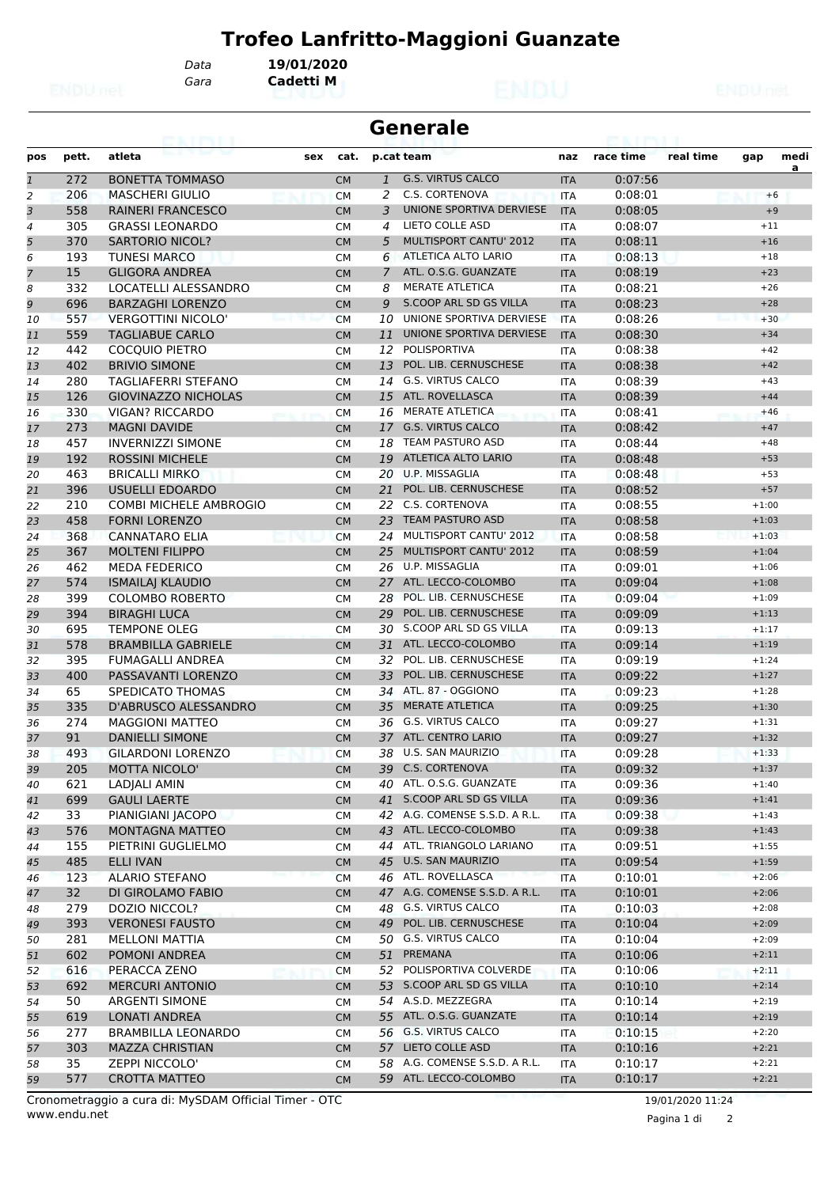*Gara* **Cadetti M**

*Data* **19/01/2020**

|                | <b>Generale</b><br>e vieni |                               |     |           |                |                                                            |            |           |           |         |           |
|----------------|----------------------------|-------------------------------|-----|-----------|----------------|------------------------------------------------------------|------------|-----------|-----------|---------|-----------|
| pos            | pett.                      | atleta                        | sex | cat.      |                | p.cat team                                                 | naz        | race time | real time | gap     | medi<br>a |
| $\mathbf{1}$   | 272                        | <b>BONETTA TOMMASO</b>        |     | <b>CM</b> | $\mathbf{1}$   | <b>G.S. VIRTUS CALCO</b>                                   | <b>ITA</b> | 0:07:56   |           |         |           |
| 2              | 206                        | <b>MASCHERI GIULIO</b>        |     | <b>CM</b> | 2              | C.S. CORTENOVA                                             | <b>ITA</b> | 0:08:01   |           |         | $+6$      |
| 3              | 558                        | <b>RAINERI FRANCESCO</b>      |     | <b>CM</b> | 3              | UNIONE SPORTIVA DERVIESE                                   | <b>ITA</b> | 0:08:05   |           |         | $+9$      |
| 4              | 305                        | <b>GRASSI LEONARDO</b>        |     | СM        | 4              | LIETO COLLE ASD                                            | <b>ITA</b> | 0:08:07   |           | $+11$   |           |
| 5              | 370                        | <b>SARTORIO NICOL?</b>        |     | <b>CM</b> | 5              | <b>MULTISPORT CANTU' 2012</b>                              | <b>ITA</b> | 0:08:11   |           | $+16$   |           |
| 6              | 193                        | <b>TUNESI MARCO</b>           |     | CМ        | 6              | ATLETICA ALTO LARIO                                        | ITA        | 0:08:13   |           | $+18$   |           |
| $\overline{7}$ | 15                         | <b>GLIGORA ANDREA</b>         |     | <b>CM</b> | $\overline{7}$ | ATL. O.S.G. GUANZATE                                       | <b>ITA</b> | 0:08:19   |           | $+23$   |           |
| 8              | 332                        | LOCATELLI ALESSANDRO          |     | <b>CM</b> | 8              | <b>MERATE ATLETICA</b>                                     | <b>ITA</b> | 0:08:21   |           | $+26$   |           |
| 9              | 696                        | <b>BARZAGHI LORENZO</b>       |     | <b>CM</b> | 9              | S.COOP ARL SD GS VILLA                                     | <b>ITA</b> | 0:08:23   |           | $+28$   |           |
| 10             | 557                        | <b>VERGOTTINI NICOLO'</b>     |     | <b>CM</b> | 10             | UNIONE SPORTIVA DERVIESE                                   | <b>ITA</b> | 0:08:26   |           | $+30$   |           |
| 11             | 559                        | TAGLIABUE CARLO               |     | <b>CM</b> | 11             | UNIONE SPORTIVA DERVIESE                                   | <b>ITA</b> | 0:08:30   |           | $+34$   |           |
| 12             | 442                        | <b>COCQUIO PIETRO</b>         |     | СM        | 12             | POLISPORTIVA                                               | <b>ITA</b> | 0:08:38   |           | $+42$   |           |
| 13             | 402                        | <b>BRIVIO SIMONE</b>          |     | <b>CM</b> | 13             | POL. LIB. CERNUSCHESE                                      | <b>ITA</b> | 0:08:38   |           | $+42$   |           |
| 14             | 280                        | <b>TAGLIAFERRI STEFANO</b>    |     | <b>CM</b> | 14             | <b>G.S. VIRTUS CALCO</b>                                   | <b>ITA</b> | 0:08:39   |           | $+43$   |           |
| 15             | 126                        | <b>GIOVINAZZO NICHOLAS</b>    |     | <b>CM</b> | 15             | ATL. ROVELLASCA                                            | <b>ITA</b> | 0:08:39   |           | $+44$   |           |
| 16             | 330                        | <b>VIGAN? RICCARDO</b>        |     | СM        |                | 16 MERATE ATLETICA                                         | ITA        | 0:08:41   |           | $+46$   |           |
| 17             | 273                        | <b>MAGNI DAVIDE</b>           |     | <b>CM</b> | 17             | <b>G.S. VIRTUS CALCO</b>                                   | <b>ITA</b> | 0:08:42   |           | $+47$   |           |
| 18             | 457                        | <b>INVERNIZZI SIMONE</b>      |     | <b>CM</b> | 18             | TEAM PASTURO ASD                                           | <b>ITA</b> | 0:08:44   |           | $+48$   |           |
| 19             | 192                        | <b>ROSSINI MICHELE</b>        |     | <b>CM</b> |                | 19 ATLETICA ALTO LARIO                                     | <b>ITA</b> | 0:08:48   |           | $+53$   |           |
| 20             | 463                        | <b>BRICALLI MIRKO</b>         |     | СM        |                | 20 U.P. MISSAGLIA                                          | <b>ITA</b> | 0:08:48   |           | $+53$   |           |
| 21             | 396                        | <b>USUELLI EDOARDO</b>        |     | <b>CM</b> | 21             | POL. LIB. CERNUSCHESE                                      | <b>ITA</b> | 0:08:52   |           | $+57$   |           |
| 22             | 210                        | <b>COMBI MICHELE AMBROGIO</b> |     | СM        |                | 22 C.S. CORTENOVA                                          | ITA        | 0:08:55   |           | $+1:00$ |           |
| 23             | 458                        | <b>FORNI LORENZO</b>          |     | <b>CM</b> | 23             | <b>TEAM PASTURO ASD</b>                                    | <b>ITA</b> | 0:08:58   |           | $+1:03$ |           |
| 24             | 368                        | <b>CANNATARO ELIA</b>         |     | <b>CM</b> | 24             | MULTISPORT CANTU' 2012                                     | <b>ITA</b> | 0:08:58   |           | $+1:03$ |           |
| 25             | 367                        | <b>MOLTENI FILIPPO</b>        |     | <b>CM</b> | 25             | <b>MULTISPORT CANTU' 2012</b>                              | <b>ITA</b> | 0:08:59   |           | $+1:04$ |           |
| 26             | 462                        | <b>MEDA FEDERICO</b>          |     | <b>CM</b> |                | 26 U.P. MISSAGLIA                                          | <b>ITA</b> | 0:09:01   |           | $+1:06$ |           |
| 27             | 574                        | <b>ISMAILAJ KLAUDIO</b>       |     | <b>CM</b> | 27             | ATL. LECCO-COLOMBO                                         | <b>ITA</b> | 0:09:04   |           | $+1:08$ |           |
| 28             | 399                        | <b>COLOMBO ROBERTO</b>        |     | СM        | 28             | POL. LIB. CERNUSCHESE                                      | <b>ITA</b> | 0:09:04   |           | $+1:09$ |           |
| 29             | 394                        | <b>BIRAGHI LUCA</b>           |     | <b>CM</b> | 29             | POL. LIB. CERNUSCHESE                                      | <b>ITA</b> | 0:09:09   |           | $+1:13$ |           |
| 30             | 695                        | <b>TEMPONE OLEG</b>           |     | CМ        | 30             | S.COOP ARL SD GS VILLA                                     | ITA        | 0:09:13   |           | $+1:17$ |           |
| 31             | 578                        | <b>BRAMBILLA GABRIELE</b>     |     | <b>CM</b> |                | 31 ATL. LECCO-COLOMBO                                      | <b>ITA</b> | 0:09:14   |           | $+1:19$ |           |
| 32             | 395                        | <b>FUMAGALLI ANDREA</b>       |     | <b>CM</b> | 32             | POL. LIB. CERNUSCHESE                                      | <b>ITA</b> | 0:09:19   |           | $+1:24$ |           |
| 33             | 400                        | PASSAVANTI LORENZO            |     | <b>CM</b> | 33             | POL. LIB. CERNUSCHESE                                      | <b>ITA</b> | 0:09:22   |           | $+1:27$ |           |
| 34             | 65                         | SPEDICATO THOMAS              |     | СM        |                | 34 ATL. 87 - OGGIONO                                       | <b>ITA</b> | 0:09:23   |           | $+1:28$ |           |
| 35             | 335                        | D'ABRUSCO ALESSANDRO          |     | <b>CM</b> | 35             | <b>MERATE ATLETICA</b>                                     | <b>ITA</b> | 0:09:25   |           | $+1:30$ |           |
| 36             | 274                        | <b>MAGGIONI MATTEO</b>        |     | CМ        |                | 36 G.S. VIRTUS CALCO                                       | ITA        | 0:09:27   |           | $+1:31$ |           |
| 37             | 91                         | <b>DANIELLI SIMONE</b>        |     | <b>CM</b> |                | 37 ATL. CENTRO LARIO                                       | <b>ITA</b> | 0:09:27   |           | $+1:32$ |           |
| 38             | 493                        | <b>GILARDONI LORENZO</b>      |     | <b>CM</b> |                | 38 U.S. SAN MAURIZIO                                       | <b>ITA</b> | 0:09:28   |           | $+1:33$ |           |
| 39             | 205                        | MOTTA NICOLO'                 |     | CM        |                | 39 C.S. CORTENOVA                                          | <b>ITA</b> | 0:09:32   |           | $+1:37$ |           |
| 40             | 621                        | LADJALI AMIN                  |     | СM        |                | 40 ATL. O.S.G. GUANZATE                                    | ITA        | 0:09:36   |           | $+1:40$ |           |
| 41             | 699                        | <b>GAULI LAERTE</b>           |     | <b>CM</b> |                | 41 S.COOP ARL SD GS VILLA<br>42 A.G. COMENSE S.S.D. A R.L. | <b>ITA</b> | 0:09:36   |           | $+1:41$ |           |
| 42             | 33                         | PIANIGIANI JACOPO             |     | СM        |                |                                                            | ITA        | 0:09:38   |           | $+1:43$ |           |
| 43             | 576                        | <b>MONTAGNA MATTEO</b>        |     | <b>CM</b> |                | 43 ATL. LECCO-COLOMBO                                      | <b>ITA</b> | 0:09:38   |           | $+1:43$ |           |
| 44             | 155                        | PIETRINI GUGLIELMO            |     | СM        |                | 44 ATL. TRIANGOLO LARIANO<br>U.S. SAN MAURIZIO             | ITA        | 0:09:51   |           | $+1:55$ |           |
| 45             | 485                        | <b>ELLI IVAN</b>              |     | <b>CM</b> | 45             |                                                            | <b>ITA</b> | 0:09:54   |           | $+1:59$ |           |
| 46             | 123                        | <b>ALARIO STEFANO</b>         |     | <b>CM</b> |                | 46 ATL. ROVELLASCA                                         | <b>ITA</b> | 0:10:01   |           | $+2:06$ |           |
| 47             | 32 <sup>2</sup>            | DI GIROLAMO FABIO             |     | <b>CM</b> |                | 47 A.G. COMENSE S.S.D. A R.L.                              | <b>ITA</b> | 0:10:01   |           | $+2:06$ |           |
| 48             | 279                        | DOZIO NICCOL?                 |     | CМ        |                | 48 G.S. VIRTUS CALCO                                       | ITA        | 0:10:03   |           | $+2:08$ |           |
| 49             | 393                        | <b>VERONESI FAUSTO</b>        |     | <b>CM</b> | 49             | POL. LIB. CERNUSCHESE                                      | <b>ITA</b> | 0:10:04   |           | $+2:09$ |           |
| 50             | 281                        | <b>MELLONI MATTIA</b>         |     | СM        |                | 50 G.S. VIRTUS CALCO                                       | ITA        | 0:10:04   |           | $+2:09$ |           |
| 51             | 602                        | POMONI ANDREA                 |     | <b>CM</b> | 51             | PREMANA                                                    | <b>ITA</b> | 0:10:06   |           | $+2:11$ |           |
| 52             | 616                        | PERACCA ZENO                  |     | <b>CM</b> |                | 52 POLISPORTIVA COLVERDE                                   | ITA        | 0:10:06   |           | $+2:11$ |           |
| 53             | 692                        | <b>MERCURI ANTONIO</b>        |     | <b>CM</b> |                | 53 S.COOP ARL SD GS VILLA                                  | <b>ITA</b> | 0:10:10   |           | $+2:14$ |           |
| 54             | 50                         | <b>ARGENTI SIMONE</b>         |     | СM        |                | 54 A.S.D. MEZZEGRA                                         | <b>ITA</b> | 0:10:14   |           | $+2:19$ |           |
| 55             | 619                        | <b>LONATI ANDREA</b>          |     | <b>CM</b> |                | 55 ATL. O.S.G. GUANZATE                                    | <b>ITA</b> | 0:10:14   |           | $+2:19$ |           |
| 56             | 277                        | <b>BRAMBILLA LEONARDO</b>     |     | CM        |                | 56 G.S. VIRTUS CALCO                                       | ITA        | 0:10:15   |           | $+2:20$ |           |
| 57             | 303                        | <b>MAZZA CHRISTIAN</b>        |     | <b>CM</b> |                | 57 LIETO COLLE ASD                                         | <b>ITA</b> | 0:10:16   |           | $+2:21$ |           |
| 58             | 35                         | ZEPPI NICCOLO'                |     | <b>CM</b> |                | 58 A.G. COMENSE S.S.D. A R.L.                              | <b>ITA</b> | 0:10:17   |           | $+2:21$ |           |
| 59             | 577                        | <b>CROTTA MATTEO</b>          |     | <b>CM</b> |                | 59 ATL. LECCO-COLOMBO                                      | <b>ITA</b> | 0:10:17   |           | $+2:21$ |           |

www.endu.net Cronometraggio a cura di: MySDAM Official Timer - OTC 19/01/2020 11:24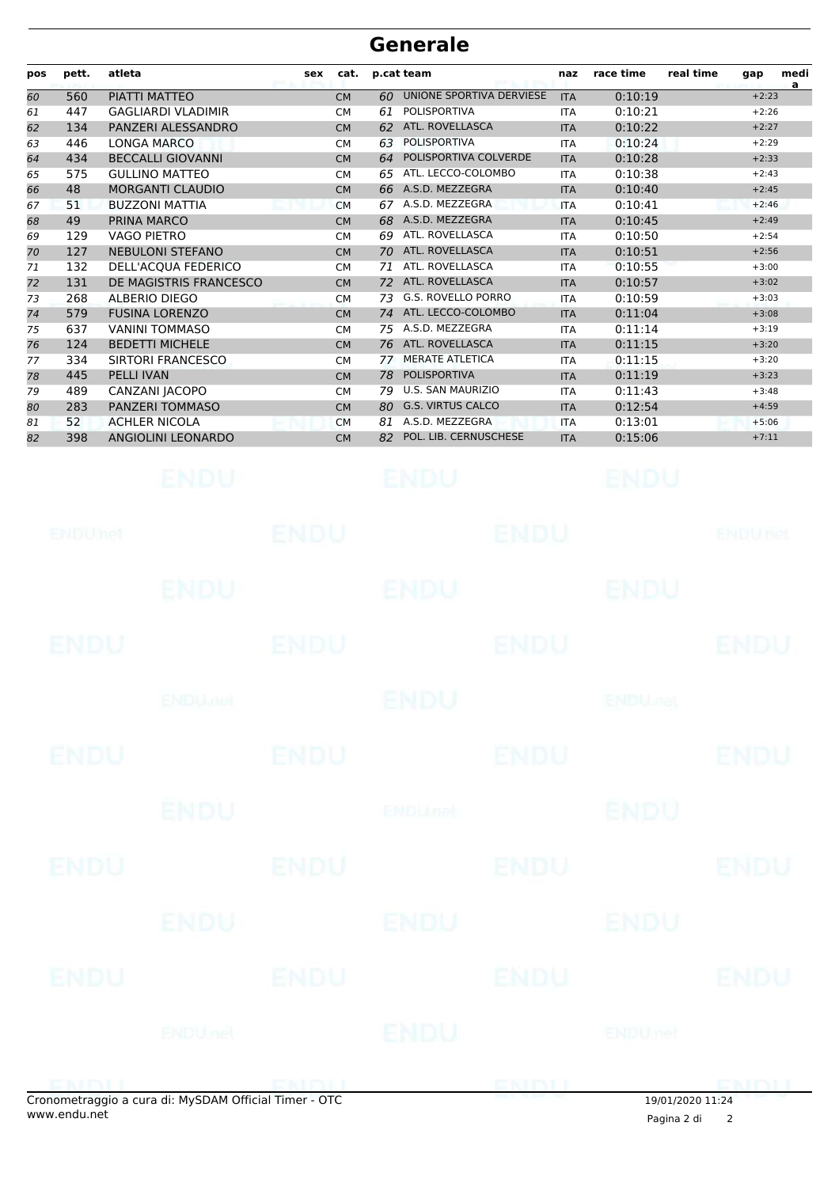| pos | pett. | atleta                    | sex | cat.      | p.cat team |                          | naz        | race time | real time | gap     | medi<br>a |
|-----|-------|---------------------------|-----|-----------|------------|--------------------------|------------|-----------|-----------|---------|-----------|
| 60  | 560   | PIATTI MATTEO             |     | <b>CM</b> | 60         | UNIONE SPORTIVA DERVIESE | <b>ITA</b> | 0:10:19   |           | $+2:23$ |           |
| 61  | 447   | <b>GAGLIARDI VLADIMIR</b> |     | <b>CM</b> | 61         | <b>POLISPORTIVA</b>      | <b>ITA</b> | 0:10:21   |           | $+2:26$ |           |
| 62  | 134   | PANZERI ALESSANDRO        |     | <b>CM</b> | 62         | ATL. ROVELLASCA          | <b>ITA</b> | 0:10:22   |           | $+2:27$ |           |
| 63  | 446   | LONGA MARCO               |     | <b>CM</b> | 63         | <b>POLISPORTIVA</b>      | <b>ITA</b> | 0:10:24   |           | $+2:29$ |           |
| 64  | 434   | <b>BECCALLI GIOVANNI</b>  |     | <b>CM</b> | 64         | POLISPORTIVA COLVERDE    | <b>ITA</b> | 0:10:28   |           | $+2:33$ |           |
| 65  | 575   | <b>GULLINO MATTEO</b>     |     | <b>CM</b> | 65         | ATL. LECCO-COLOMBO       | <b>ITA</b> | 0:10:38   |           | $+2:43$ |           |
| 66  | 48    | <b>MORGANTI CLAUDIO</b>   |     | <b>CM</b> | 66         | A.S.D. MEZZEGRA          | <b>ITA</b> | 0:10:40   |           | $+2:45$ |           |
| 67  | 51    | <b>BUZZONI MATTIA</b>     |     | <b>CM</b> | 67         | A.S.D. MEZZEGRA          | <b>ITA</b> | 0:10:41   |           | $+2:46$ |           |
| 68  | 49    | PRINA MARCO               |     | <b>CM</b> | 68         | A.S.D. MEZZEGRA          | <b>ITA</b> | 0:10:45   |           | $+2:49$ |           |
| 69  | 129   | <b>VAGO PIETRO</b>        |     | <b>CM</b> | 69         | ATL. ROVELLASCA          | <b>ITA</b> | 0:10:50   |           | $+2:54$ |           |
| 70  | 127   | <b>NEBULONI STEFANO</b>   |     | <b>CM</b> | 70         | ATL. ROVELLASCA          | <b>ITA</b> | 0:10:51   |           | $+2:56$ |           |
| 71  | 132   | DELL'ACQUA FEDERICO       |     | <b>CM</b> | 71         | ATL. ROVELLASCA          | <b>ITA</b> | 0:10:55   |           | $+3:00$ |           |
| 72  | 131   | DE MAGISTRIS FRANCESCO    |     | <b>CM</b> | 72         | ATL. ROVELLASCA          | <b>ITA</b> | 0:10:57   |           | $+3:02$ |           |
| 73  | 268   | <b>ALBERIO DIEGO</b>      |     | <b>CM</b> | 73         | G.S. ROVELLO PORRO       | <b>ITA</b> | 0:10:59   |           | $+3:03$ |           |
| 74  | 579   | <b>FUSINA LORENZO</b>     |     | <b>CM</b> | 74         | ATL. LECCO-COLOMBO       | <b>ITA</b> | 0:11:04   |           | $+3:08$ |           |
| 75  | 637   | <b>VANINI TOMMASO</b>     |     | <b>CM</b> | 75         | A.S.D. MEZZEGRA          | <b>ITA</b> | 0:11:14   |           | $+3:19$ |           |
| 76  | 124   | <b>BEDETTI MICHELE</b>    |     | <b>CM</b> | 76         | ATL. ROVELLASCA          | <b>ITA</b> | 0:11:15   |           | $+3:20$ |           |
| 77  | 334   | SIRTORI FRANCESCO         |     | <b>CM</b> | 77         | <b>MERATE ATLETICA</b>   | <b>ITA</b> | 0:11:15   |           | $+3:20$ |           |
| 78  | 445   | <b>PELLI IVAN</b>         |     | <b>CM</b> | 78         | POLISPORTIVA             | <b>ITA</b> | 0:11:19   |           | $+3:23$ |           |
| 79  | 489   | CANZANI JACOPO            |     | <b>CM</b> | 79         | <b>U.S. SAN MAURIZIO</b> | <b>ITA</b> | 0:11:43   |           | $+3:48$ |           |
| 80  | 283   | PANZERI TOMMASO           |     | <b>CM</b> | 80         | <b>G.S. VIRTUS CALCO</b> | <b>ITA</b> | 0:12:54   |           | $+4:59$ |           |
| 81  | 52    | <b>ACHLER NICOLA</b>      |     | <b>CM</b> | 81         | A.S.D. MEZZEGRA          | <b>ITA</b> | 0:13:01   |           | $+5:06$ |           |
| 82  | 398   | ANGIOLINI LEONARDO        |     | <b>CM</b> | 82         | POL. LIB. CERNUSCHESE    | <b>ITA</b> | 0:15:06   |           | $+7:11$ |           |

|             | <b>ENDU</b>                                         |             | <b>ENDU</b> |             | ENDU                      |                |
|-------------|-----------------------------------------------------|-------------|-------------|-------------|---------------------------|----------------|
| ENDUMet     |                                                     | <b>ENDU</b> |             | <b>ENDU</b> |                           | <b>ENDUnet</b> |
|             | <b>ENDU.</b>                                        |             | ENDU        |             | <b>ENDU</b>               |                |
| <b>ENDU</b> |                                                     | <b>ENDU</b> |             | <b>ENDU</b> |                           | <b>ENDU</b>    |
|             | <b>ENDUMEN</b>                                      |             | ENDU        |             | <b>ENDU<sub>DEL</sub></b> |                |
| <b>ENDU</b> |                                                     | <b>ENDU</b> |             | <b>ENDU</b> |                           | <b>ENDU</b>    |
|             | <b>ENDU</b>                                         |             | ENDUneb     |             | <b>ENDU</b>               |                |
| ENDU        |                                                     | <b>ENDU</b> |             | <b>ENDU</b> |                           | <b>ENDU</b>    |
|             | <b>ENDU</b>                                         |             | ENDU        |             | ENDU                      |                |
| ENDU        |                                                     | <b>ENDU</b> |             | <b>ENDU</b> |                           | <b>ENDU</b>    |
|             | <b>ENDU</b> nel                                     |             | ENDU        |             | <b>ENDUmet</b>            |                |
|             | onometraggio a cura di: MySDAM Official Timer - OTC |             |             | ENDIJ       | 19/01/202011.24           | <b>EMBLI</b>   |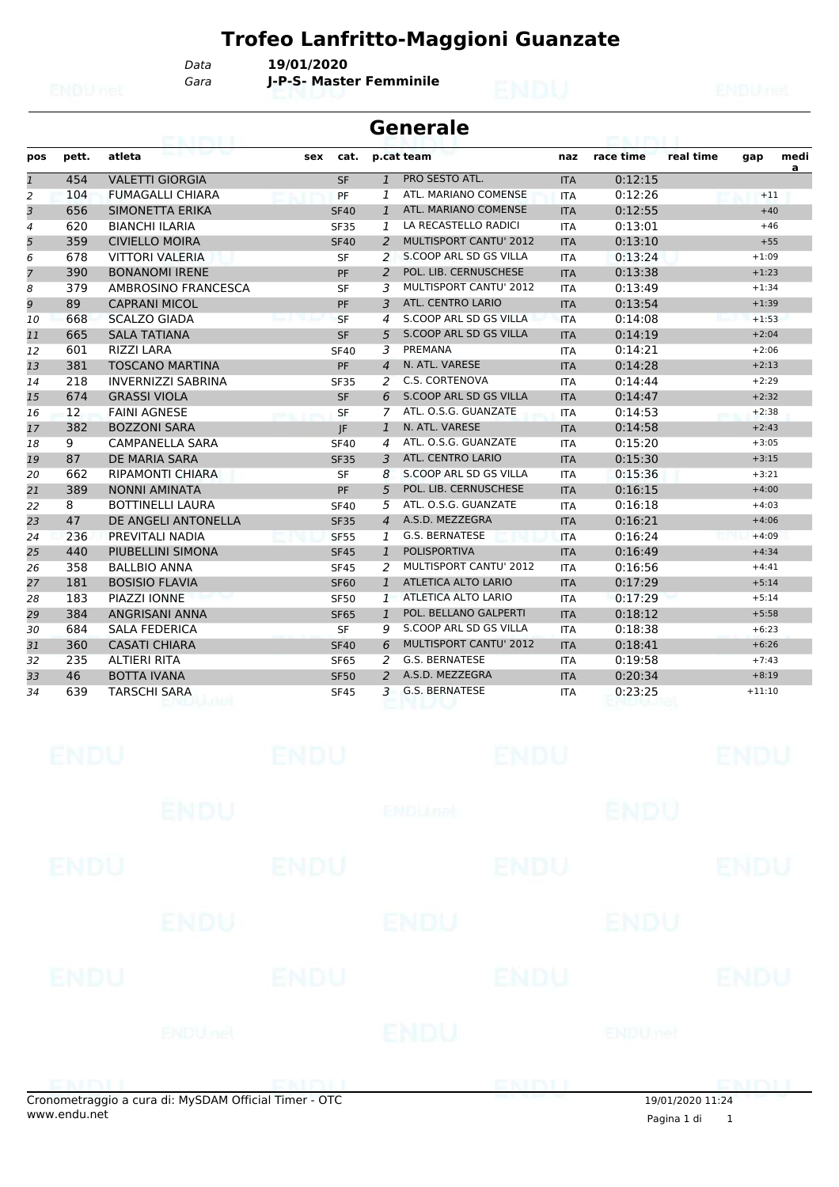*Gara* **J-P-S- Master Femminile** *Data* **19/01/2020**

|                | Generale |                           |             |                |                               |            |           |           |          |           |  |
|----------------|----------|---------------------------|-------------|----------------|-------------------------------|------------|-----------|-----------|----------|-----------|--|
| pos            | pett.    | atleta                    | cat.<br>sex |                | p.cat team                    | naz        | race time | real time | gap      | medi<br>a |  |
| $\mathbf{1}$   | 454      | <b>VALETTI GIORGIA</b>    | <b>SF</b>   | $\overline{1}$ | PRO SESTO ATL.                | <b>ITA</b> | 0:12:15   |           |          |           |  |
| 2              | 104      | <b>FUMAGALLI CHIARA</b>   | PF          | 1              | ATL. MARIANO COMENSE          | <b>ITA</b> | 0:12:26   |           | $+11$    |           |  |
| 3              | 656      | SIMONETTA ERIKA           | <b>SF40</b> | $\mathbf{1}$   | ATL. MARIANO COMENSE          | <b>ITA</b> | 0:12:55   |           | $+40$    |           |  |
| $\overline{4}$ | 620      | <b>BIANCHI ILARIA</b>     | <b>SF35</b> | 1              | LA RECASTELLO RADICI          | <b>ITA</b> | 0:13:01   |           | $+46$    |           |  |
| 5              | 359      | <b>CIVIELLO MOIRA</b>     | <b>SF40</b> | $\overline{2}$ | <b>MULTISPORT CANTU' 2012</b> | <b>ITA</b> | 0:13:10   |           | $+55$    |           |  |
| 6              | 678      | <b>VITTORI VALERIA</b>    | <b>SF</b>   | 2              | S.COOP ARL SD GS VILLA        | <b>ITA</b> | 0:13:24   |           | $+1:09$  |           |  |
| $\overline{7}$ | 390      | <b>BONANOMI IRENE</b>     | PF          | $\mathcal{P}$  | POL. LIB. CERNUSCHESE         | <b>ITA</b> | 0:13:38   |           | $+1:23$  |           |  |
| 8              | 379      | AMBROSINO FRANCESCA       | <b>SF</b>   | 3              | MULTISPORT CANTU' 2012        | <b>ITA</b> | 0:13:49   |           | $+1:34$  |           |  |
| 9              | 89       | <b>CAPRANI MICOL</b>      | PF          | $\overline{3}$ | <b>ATL. CENTRO LARIO</b>      | <b>ITA</b> | 0:13:54   |           | $+1:39$  |           |  |
| 10             | 668      | <b>SCALZO GIADA</b>       | <b>SF</b>   | $\overline{4}$ | S.COOP ARL SD GS VILLA        | <b>ITA</b> | 0:14:08   |           | $+1:53$  |           |  |
| 11             | 665      | <b>SALA TATIANA</b>       | <b>SF</b>   | 5              | S.COOP ARL SD GS VILLA        | <b>ITA</b> | 0:14:19   |           | $+2:04$  |           |  |
| 12             | 601      | <b>RIZZI LARA</b>         | <b>SF40</b> | 3              | PREMANA                       | <b>ITA</b> | 0:14:21   |           | $+2:06$  |           |  |
| 13             | 381      | <b>TOSCANO MARTINA</b>    | PF          | $\overline{4}$ | N. ATL. VARESE                | <b>ITA</b> | 0:14:28   |           | $+2:13$  |           |  |
| 14             | 218      | <b>INVERNIZZI SABRINA</b> | <b>SF35</b> | 2              | C.S. CORTENOVA                | <b>ITA</b> | 0:14:44   |           | $+2:29$  |           |  |
| 15             | 674      | <b>GRASSI VIOLA</b>       | <b>SF</b>   | 6              | S.COOP ARL SD GS VILLA        | <b>ITA</b> | 0:14:47   |           | $+2:32$  |           |  |
| 16             | 12       | <b>FAINI AGNESE</b>       | SF          | 7              | ATL, O.S.G. GUANZATE          | <b>ITA</b> | 0:14:53   |           | $+2:38$  |           |  |
| 17             | 382      | <b>BOZZONI SARA</b>       | IF          | $\mathbf{1}$   | N. ATL. VARESE                | <b>ITA</b> | 0:14:58   |           | $+2:43$  |           |  |
| 18             | 9        | <b>CAMPANELLA SARA</b>    | <b>SF40</b> | 4              | ATL. O.S.G. GUANZATE          | <b>ITA</b> | 0:15:20   |           | $+3:05$  |           |  |
| 19             | 87       | DE MARIA SARA             | <b>SF35</b> | 3              | <b>ATL. CENTRO LARIO</b>      | <b>ITA</b> | 0:15:30   |           | $+3:15$  |           |  |
| 20             | 662      | <b>RIPAMONTI CHIARA</b>   | <b>SF</b>   | 8              | S.COOP ARL SD GS VILLA        | <b>ITA</b> | 0:15:36   |           | $+3:21$  |           |  |
| 21             | 389      | <b>NONNI AMINATA</b>      | PF          | 5              | POL. LIB. CERNUSCHESE         | <b>ITA</b> | 0:16:15   |           | $+4:00$  |           |  |
| 22             | 8        | <b>BOTTINELLI LAURA</b>   | <b>SF40</b> | 5              | ATL, O.S.G. GUANZATE          | <b>ITA</b> | 0:16:18   |           | $+4:03$  |           |  |
| 23             | 47       | DE ANGELI ANTONELLA       | <b>SF35</b> | $\overline{4}$ | A.S.D. MEZZEGRA               | <b>ITA</b> | 0:16:21   |           | $+4:06$  |           |  |
| 24             | 236      | PREVITALI NADIA           | <b>SF55</b> | 1              | <b>G.S. BERNATESE</b>         | <b>ITA</b> | 0:16:24   |           | $+4:09$  |           |  |
| 25             | 440      | PIUBELLINI SIMONA         | <b>SF45</b> | $\mathbf{1}$   | <b>POLISPORTIVA</b>           | <b>ITA</b> | 0:16:49   |           | $+4:34$  |           |  |
| 26             | 358      | <b>BALLBIO ANNA</b>       | <b>SF45</b> | 2              | <b>MULTISPORT CANTU' 2012</b> | <b>ITA</b> | 0:16:56   |           | $+4:41$  |           |  |
| 27             | 181      | <b>BOSISIO FLAVIA</b>     | <b>SF60</b> | $\mathbf{1}$   | <b>ATLETICA ALTO LARIO</b>    | <b>ITA</b> | 0:17:29   |           | $+5:14$  |           |  |
| 28             | 183      | PIAZZI IONNE              | <b>SF50</b> | $\mathbf{1}$   | ATLETICA ALTO LARIO           | <b>ITA</b> | 0:17:29   |           | $+5:14$  |           |  |
| 29             | 384      | <b>ANGRISANI ANNA</b>     | <b>SF65</b> | $\mathbf{1}$   | POL. BELLANO GALPERTI         | <b>ITA</b> | 0:18:12   |           | $+5:58$  |           |  |
| 30             | 684      | <b>SALA FEDERICA</b>      | <b>SF</b>   | 9              | S.COOP ARL SD GS VILLA        | <b>ITA</b> | 0:18:38   |           | $+6:23$  |           |  |
| 31             | 360      | <b>CASATI CHIARA</b>      | <b>SF40</b> | 6              | <b>MULTISPORT CANTU' 2012</b> | <b>ITA</b> | 0:18:41   |           | $+6:26$  |           |  |
| 32             | 235      | <b>ALTIERI RITA</b>       | <b>SF65</b> | 2              | G.S. BERNATESE                | <b>ITA</b> | 0:19:58   |           | $+7:43$  |           |  |
| 33             | 46       | <b>BOTTA IVANA</b>        | <b>SF50</b> | 2              | A.S.D. MEZZEGRA               | <b>ITA</b> | 0:20:34   |           | $+8:19$  |           |  |
| 34             | 639      | <b>TARSCHI SARA</b>       | <b>SF45</b> | 3              | G.S. BERNATESE                | <b>ITA</b> | 0:23:25   |           | $+11:10$ |           |  |

|             | apamatragaia a cura di: MyCDAM Official Timor. OTC |             |                |             | 10101020201324 |             |
|-------------|----------------------------------------------------|-------------|----------------|-------------|----------------|-------------|
|             |                                                    |             |                | CNDI        |                | DMDI I      |
|             | ENDU <sub>net</sub>                                |             | ENDU           |             | <b>ENDUmet</b> |             |
| <b>ENDU</b> |                                                    | <b>ENDU</b> |                | <b>ENDU</b> |                | <b>ENDU</b> |
|             | <b>ENDU</b>                                        |             | <b>ENDU</b>    |             | ENDU           |             |
| <b>ENDU</b> |                                                    | <b>ENDU</b> |                | <b>ENDU</b> |                | <b>ENDU</b> |
|             | <b>ENDU</b>                                        |             | <b>ENDUnet</b> |             | <b>ENDU</b>    |             |
| <b>ENDU</b> |                                                    | <b>ENDU</b> |                | <b>ENDU</b> |                | <b>ENDU</b> |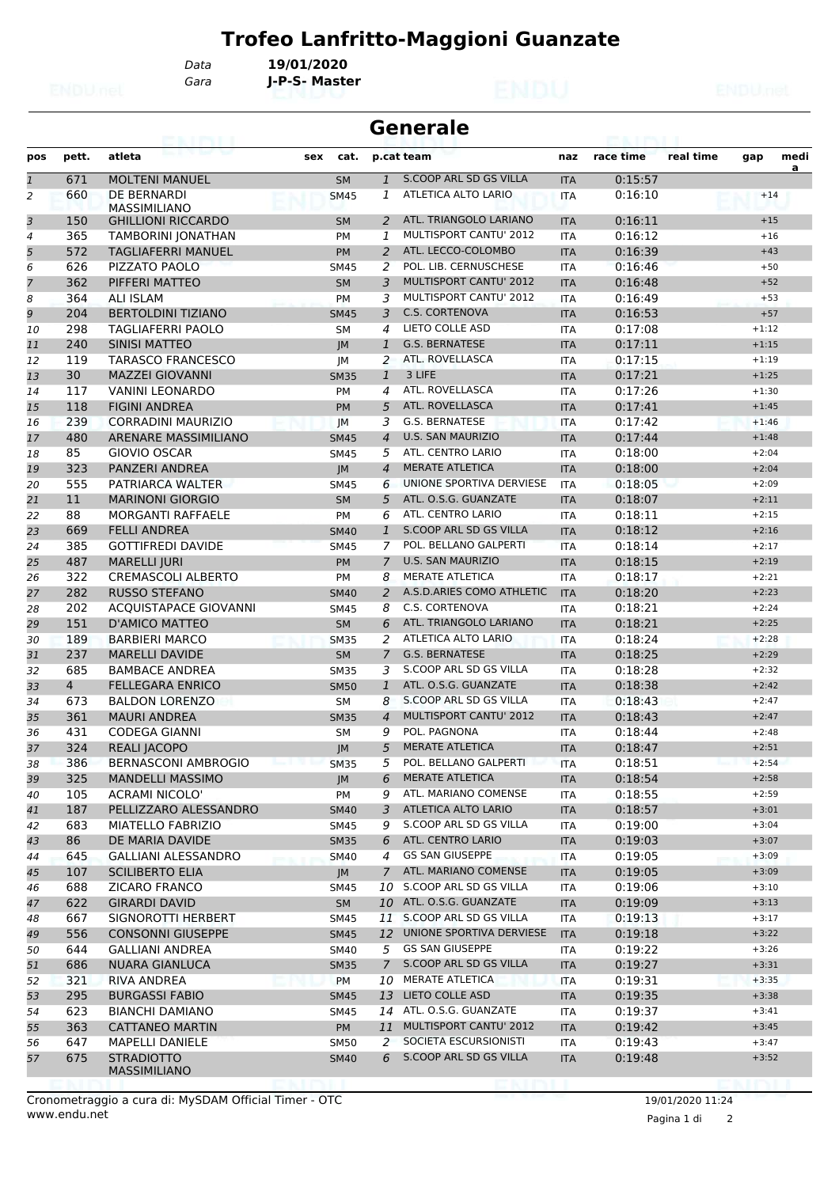*Gara* **J-P-S- Master** *Data* **19/01/2020**

|                |                | eairtí                             |             | <b>Generale</b> |                               |            |           |           |         |           |
|----------------|----------------|------------------------------------|-------------|-----------------|-------------------------------|------------|-----------|-----------|---------|-----------|
| pos            | pett.          | atleta                             | sex<br>cat. |                 | p.cat team                    | naz        | race time | real time | gap     | medi<br>a |
| $\mathbf{1}$   | 671            | <b>MOLTENI MANUEL</b>              | <b>SM</b>   | $\mathbf{1}$    | S.COOP ARL SD GS VILLA        | <b>ITA</b> | 0:15:57   |           |         |           |
| $\overline{2}$ | 660            | DE BERNARDI<br><b>MASSIMILIANO</b> | <b>SM45</b> | 1               | <b>ATLETICA ALTO LARIO</b>    | <b>ITA</b> | 0:16:10   |           | $+14$   |           |
| 3              | 150            | <b>GHILLIONI RICCARDO</b>          | <b>SM</b>   | 2               | ATL. TRIANGOLO LARIANO        | <b>ITA</b> | 0:16:11   |           | $+15$   |           |
| $\overline{4}$ | 365            | <b>TAMBORINI JONATHAN</b>          | <b>PM</b>   | 1               | MULTISPORT CANTU' 2012        | <b>ITA</b> | 0:16:12   |           | $+16$   |           |
| 5              | 572            | TAGLIAFERRI MANUEL                 | <b>PM</b>   | 2               | ATL. LECCO-COLOMBO            | <b>ITA</b> | 0:16:39   |           | $+43$   |           |
| 6              | 626            | PIZZATO PAOLO                      | <b>SM45</b> | 2               | POL. LIB. CERNUSCHESE         | <b>ITA</b> | 0:16:46   |           | $+50$   |           |
| $\overline{7}$ | 362            | PIFFERI MATTEO                     | <b>SM</b>   | 3               | <b>MULTISPORT CANTU' 2012</b> | <b>ITA</b> | 0:16:48   |           | $+52$   |           |
| 8              | 364            | <b>ALI ISLAM</b>                   | <b>PM</b>   | 3               | MULTISPORT CANTU' 2012        | <b>ITA</b> | 0:16:49   |           | $+53$   |           |
| 9              | 204            | <b>BERTOLDINI TIZIANO</b>          | <b>SM45</b> | 3               | <b>C.S. CORTENOVA</b>         | <b>ITA</b> | 0:16:53   |           | $+57$   |           |
| 10             | 298            | <b>TAGLIAFERRI PAOLO</b>           | <b>SM</b>   | 4               | LIETO COLLE ASD               | <b>ITA</b> | 0:17:08   |           | $+1:12$ |           |
| 11             | 240            | <b>SINISI MATTEO</b>               | JM          | 1               | <b>G.S. BERNATESE</b>         | <b>ITA</b> | 0:17:11   |           | $+1:15$ |           |
| 12             | 119            | <b>TARASCO FRANCESCO</b>           | JМ          | 2               | ATL. ROVELLASCA               | <b>ITA</b> | 0:17:15   |           | $+1:19$ |           |
| 13             | 30             | <b>MAZZEI GIOVANNI</b>             | <b>SM35</b> | $\mathbf{1}$    | 3 LIFE                        | <b>ITA</b> | 0:17:21   |           | $+1:25$ |           |
| 14             | 117            | <b>VANINI LEONARDO</b>             | PM          | 4               | ATL. ROVELLASCA               | <b>ITA</b> | 0:17:26   |           | $+1:30$ |           |
| 15             | 118            | <b>FIGINI ANDREA</b>               | <b>PM</b>   | 5               | ATL. ROVELLASCA               | <b>ITA</b> | 0:17:41   |           | $+1:45$ |           |
| 16             | 239            | <b>CORRADINI MAURIZIO</b>          | JM          | 3               | <b>G.S. BERNATESE</b>         | <b>ITA</b> | 0:17:42   |           | $+1:46$ |           |
| 17             | 480            | ARENARE MASSIMILIANO               | <b>SM45</b> | $\overline{4}$  | <b>U.S. SAN MAURIZIO</b>      | <b>ITA</b> | 0:17:44   |           | $+1:48$ |           |
| 18             | 85             | GIOVIO OSCAR                       | <b>SM45</b> | 5               | ATL. CENTRO LARIO             | <b>ITA</b> | 0:18:00   |           | $+2:04$ |           |
| 19             | 323            | PANZERI ANDREA                     | JM          | $\overline{4}$  | <b>MERATE ATLETICA</b>        | <b>ITA</b> | 0:18:00   |           | $+2:04$ |           |
| 20             | 555            | PATRIARCA WALTER                   | <b>SM45</b> | 6               | UNIONE SPORTIVA DERVIESE      | <b>ITA</b> | 0:18:05   |           | $+2:09$ |           |
| 21             | 11             | <b>MARINONI GIORGIO</b>            | <b>SM</b>   | 5               | ATL. O.S.G. GUANZATE          | <b>ITA</b> | 0:18:07   |           | $+2:11$ |           |
| 22             | 88             | <b>MORGANTI RAFFAELE</b>           | <b>PM</b>   | 6               | <b>ATL. CENTRO LARIO</b>      | <b>ITA</b> | 0:18:11   |           | $+2:15$ |           |
| 23             | 669            | <b>FELLI ANDREA</b>                | <b>SM40</b> | 1               | S.COOP ARL SD GS VILLA        | <b>ITA</b> | 0:18:12   |           | $+2:16$ |           |
| 24             | 385            | <b>GOTTIFREDI DAVIDE</b>           | <b>SM45</b> | 7               | POL. BELLANO GALPERTI         | <b>ITA</b> | 0:18:14   |           | $+2:17$ |           |
| 25             | 487            | <b>MARELLI JURI</b>                | <b>PM</b>   | $\overline{7}$  | <b>U.S. SAN MAURIZIO</b>      | <b>ITA</b> | 0:18:15   |           | $+2:19$ |           |
| 26             | 322            | <b>CREMASCOLI ALBERTO</b>          | <b>PM</b>   | 8               | <b>MERATE ATLETICA</b>        | <b>ITA</b> | 0:18:17   |           | $+2:21$ |           |
| 27             | 282            | <b>RUSSO STEFANO</b>               | <b>SM40</b> | 2               | A.S.D.ARIES COMO ATHLETIC     | <b>ITA</b> | 0:18:20   |           | $+2:23$ |           |
| 28             | 202            | <b>ACQUISTAPACE GIOVANNI</b>       | <b>SM45</b> | 8               | C.S. CORTENOVA                | <b>ITA</b> | 0:18:21   |           | $+2:24$ |           |
| 29             | 151            | <b>D'AMICO MATTEO</b>              | <b>SM</b>   | 6               | ATL. TRIANGOLO LARIANO        | <b>ITA</b> | 0:18:21   |           | $+2:25$ |           |
| 30             | 189            | <b>BARBIERI MARCO</b>              | <b>SM35</b> | 2               | ATLETICA ALTO LARIO           | <b>ITA</b> | 0:18:24   |           | $+2:28$ |           |
| 31             | 237            | <b>MARELLI DAVIDE</b>              | <b>SM</b>   | $\overline{7}$  | <b>G.S. BERNATESE</b>         | <b>ITA</b> | 0:18:25   |           | $+2:29$ |           |
| 32             | 685            | <b>BAMBACE ANDREA</b>              | <b>SM35</b> | 3               | S.COOP ARL SD GS VILLA        | <b>ITA</b> | 0:18:28   |           | $+2:32$ |           |
| 33             | $\overline{4}$ | <b>FELLEGARA ENRICO</b>            | <b>SM50</b> | $\mathbf{1}$    | ATL. O.S.G. GUANZATE          | <b>ITA</b> | 0:18:38   |           | $+2:42$ |           |
| 34             | 673            | <b>BALDON LORENZO</b>              | SM          | 8               | S.COOP ARL SD GS VILLA        | <b>ITA</b> | 0:18:43   |           | $+2:47$ |           |
| 35             | 361            | <b>MAURI ANDREA</b>                | <b>SM35</b> | $\overline{4}$  | <b>MULTISPORT CANTU' 2012</b> | <b>ITA</b> | 0:18:43   |           | $+2:47$ |           |
| 36             | 431            | <b>CODEGA GIANNI</b>               | <b>SM</b>   | 9               | POL. PAGNONA                  | <b>ITA</b> | 0:18:44   |           | $+2:48$ |           |
| 37             | 324            | <b>REALI JACOPO</b>                | IM          | 5               | <b>MERATE ATLETICA</b>        | <b>ITA</b> | 0:18:47   |           | $+2:51$ |           |
| 38             | 386            | <b>BERNASCONI AMBROGIO</b>         | <b>SM35</b> | 5               | POL. BELLANO GALPERTI         | <b>ITA</b> | 0:18:51   |           | $+2:54$ |           |
| 39             | 325            | <b>MANDELLI MASSIMO</b>            | JM          | 6               | MERATE ATLETICA               | <b>ITA</b> | 0:18:54   |           | $+2:58$ |           |
| 40             | 105            | <b>ACRAMI NICOLO'</b>              | PM          | 9               | ATL. MARIANO COMENSE          | ITA        | 0:18:55   |           | $+2:59$ |           |
| 41             | 187            | PELLIZZARO ALESSANDRO              | <b>SM40</b> | 3               | ATLETICA ALTO LARIO           | <b>ITA</b> | 0:18:57   |           | $+3:01$ |           |
| 42             | 683            | MIATELLO FABRIZIO                  | <b>SM45</b> | 9               | S.COOP ARL SD GS VILLA        | ITA        | 0:19:00   |           | $+3:04$ |           |
| 43             | 86             | DE MARIA DAVIDE                    | <b>SM35</b> | 6               | ATL. CENTRO LARIO             | <b>ITA</b> | 0:19:03   |           | $+3:07$ |           |
| 44             | 645            | <b>GALLIANI ALESSANDRO</b>         | <b>SM40</b> | 4               | <b>GS SAN GIUSEPPE</b>        | ITA        | 0:19:05   |           | $+3:09$ |           |
| 45             | 107            | <b>SCILIBERTO ELIA</b>             | JM          | $\mathcal{I}$   | ATL. MARIANO COMENSE          | <b>ITA</b> | 0:19:05   |           | $+3:09$ |           |
| 46             | 688            | <b>ZICARO FRANCO</b>               | SM45        | 10              | S.COOP ARL SD GS VILLA        | ITA        | 0:19:06   |           | $+3:10$ |           |
| 47             | 622            | <b>GIRARDI DAVID</b>               | <b>SM</b>   |                 | 10 ATL. O.S.G. GUANZATE       | <b>ITA</b> | 0:19:09   |           | $+3:13$ |           |
| 48             | 667            | SIGNOROTTI HERBERT                 | <b>SM45</b> |                 | 11 S.COOP ARL SD GS VILLA     | ITA        | 0:19:13   |           | $+3:17$ |           |
| 49             | 556            | <b>CONSONNI GIUSEPPE</b>           | <b>SM45</b> | 12              | UNIONE SPORTIVA DERVIESE      | <b>ITA</b> | 0:19:18   |           | $+3:22$ |           |
| 50             | 644            | <b>GALLIANI ANDREA</b>             | <b>SM40</b> |                 | 5 GS SAN GIUSEPPE             | ITA        | 0:19:22   |           | $+3:26$ |           |
| 51             | 686            | <b>NUARA GIANLUCA</b>              | <b>SM35</b> | $\overline{7}$  | S.COOP ARL SD GS VILLA        | <b>ITA</b> | 0:19:27   |           | $+3:31$ |           |
| 52             | 321            | <b>RIVA ANDREA</b>                 | PM          | 10              | MERATE ATLETICA               | <b>ITA</b> | 0:19:31   |           | $+3:35$ |           |
| 53             | 295            | <b>BURGASSI FABIO</b>              | <b>SM45</b> |                 | 13 LIETO COLLE ASD            | <b>ITA</b> | 0:19:35   |           | $+3:38$ |           |
| 54             | 623            | <b>BIANCHI DAMIANO</b>             | <b>SM45</b> | 14              | ATL. O.S.G. GUANZATE          | ITA        | 0:19:37   |           | $+3:41$ |           |
| 55             | 363            | <b>CATTANEO MARTIN</b>             | PM          | 11              | MULTISPORT CANTU' 2012        | <b>ITA</b> | 0:19:42   |           | $+3:45$ |           |
| 56             | 647            | <b>MAPELLI DANIELE</b>             | <b>SM50</b> | 2               | SOCIETA ESCURSIONISTI         | ITA        | 0:19:43   |           | $+3:47$ |           |
| 57             | 675            | <b>STRADIOTTO</b><br>MASSIMILIANO  | <b>SM40</b> | 6               | S.COOP ARL SD GS VILLA        | <b>ITA</b> | 0:19:48   |           | $+3:52$ |           |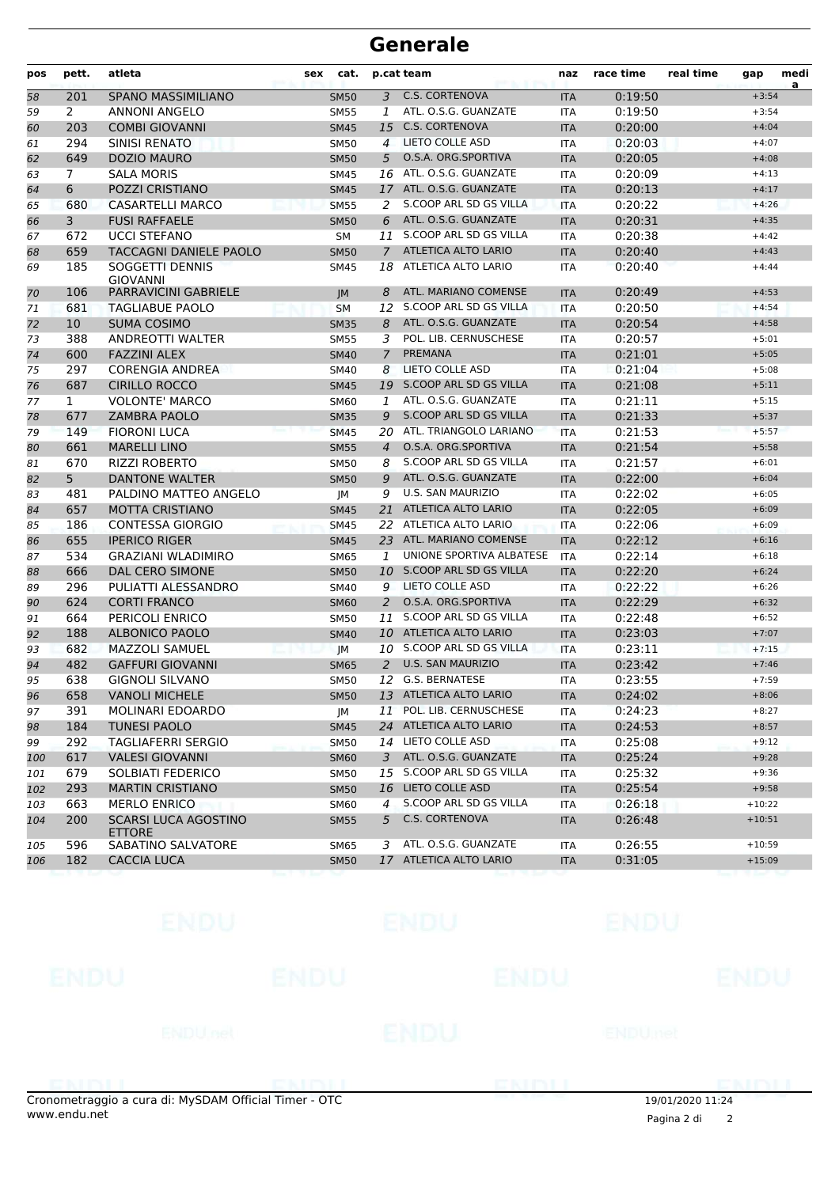| pos | pett.          | atleta                                       | sex | cat.        |                | p.cat team                 | naz        | race time | real time | gap      | medi<br>a |
|-----|----------------|----------------------------------------------|-----|-------------|----------------|----------------------------|------------|-----------|-----------|----------|-----------|
| 58  | 201            | SPANO MASSIMILIANO                           |     | <b>SM50</b> | 3              | <b>C.S. CORTENOVA</b>      | <b>ITA</b> | 0:19:50   |           | $+3:54$  |           |
| 59  | 2              | <b>ANNONI ANGELO</b>                         |     | <b>SM55</b> | $\mathbf{1}$   | ATL. O.S.G. GUANZATE       | <b>ITA</b> | 0:19:50   |           | $+3:54$  |           |
| 60  | 203            | <b>COMBI GIOVANNI</b>                        |     | <b>SM45</b> | 15             | <b>C.S. CORTENOVA</b>      | <b>ITA</b> | 0:20:00   |           | $+4:04$  |           |
| 61  | 294            | SINISI RENATO                                |     | <b>SM50</b> | $\overline{4}$ | LIETO COLLE ASD            | <b>ITA</b> | 0:20:03   |           | $+4:07$  |           |
| 62  | 649            | <b>DOZIO MAURO</b>                           |     | <b>SM50</b> | 5              | O.S.A. ORG.SPORTIVA        | <b>ITA</b> | 0:20:05   |           | $+4:08$  |           |
| 63  | $\overline{7}$ | <b>SALA MORIS</b>                            |     | <b>SM45</b> |                | 16 ATL. O.S.G. GUANZATE    | <b>ITA</b> | 0:20:09   |           | $+4:13$  |           |
| 64  | 6              | POZZI CRISTIANO                              |     | <b>SM45</b> | 17             | ATL. O.S.G. GUANZATE       | <b>ITA</b> | 0:20:13   |           | $+4:17$  |           |
| 65  | 680            | <b>CASARTELLI MARCO</b>                      |     | <b>SM55</b> | 2              | S.COOP ARL SD GS VILLA     | <b>ITA</b> | 0:20:22   |           | $+4:26$  |           |
| 66  | 3              | <b>FUSI RAFFAELE</b>                         |     | <b>SM50</b> | 6              | ATL, O.S.G. GUANZATE       | <b>ITA</b> | 0:20:31   |           | $+4:35$  |           |
| 67  | 672            | <b>UCCI STEFANO</b>                          |     | <b>SM</b>   | 11             | S.COOP ARL SD GS VILLA     | ITA        | 0:20:38   |           | $+4:42$  |           |
| 68  | 659            | TACCAGNI DANIELE PAOLO                       |     | <b>SM50</b> | $\mathcal{I}$  | <b>ATLETICA ALTO LARIO</b> | <b>ITA</b> | 0:20:40   |           | $+4:43$  |           |
| 69  | 185            | SOGGETTI DENNIS<br><b>GIOVANNI</b>           |     | <b>SM45</b> | 18             | ATLETICA ALTO LARIO        | <b>ITA</b> | 0:20:40   |           | $+4:44$  |           |
| 70  | 106            | PARRAVICINI GABRIELE                         |     | JM          | 8              | ATL. MARIANO COMENSE       | <b>ITA</b> | 0:20:49   |           | $+4:53$  |           |
| 71  | 681            | <b>TAGLIABUE PAOLO</b>                       |     | <b>SM</b>   | 12             | S.COOP ARL SD GS VILLA     | <b>ITA</b> | 0:20:50   |           | $+4:54$  |           |
| 72  | 10             | <b>SUMA COSIMO</b>                           |     | <b>SM35</b> | 8              | ATL. O.S.G. GUANZATE       | <b>ITA</b> | 0:20:54   |           | $+4:58$  |           |
| 73  | 388            | <b>ANDREOTTI WALTER</b>                      |     | <b>SM55</b> | 3              | POL. LIB. CERNUSCHESE      | ITA        | 0:20:57   |           | $+5:01$  |           |
| 74  | 600            | <b>FAZZINI ALEX</b>                          |     | <b>SM40</b> | $\overline{7}$ | <b>PREMANA</b>             | <b>ITA</b> | 0:21:01   |           | $+5:05$  |           |
| 75  | 297            | <b>CORENGIA ANDREA</b>                       |     | <b>SM40</b> | 8              | LIETO COLLE ASD            | <b>ITA</b> | 0:21:04   |           | $+5:08$  |           |
| 76  | 687            | <b>CIRILLO ROCCO</b>                         |     | <b>SM45</b> | 19             | S.COOP ARL SD GS VILLA     | <b>ITA</b> | 0:21:08   |           | $+5:11$  |           |
| 77  | $\mathbf{1}$   | <b>VOLONTE' MARCO</b>                        |     | <b>SM60</b> | 1              | ATL. O.S.G. GUANZATE       | <b>ITA</b> | 0:21:11   |           | $+5:15$  |           |
| 78  | 677            | <b>ZAMBRA PAOLO</b>                          |     | <b>SM35</b> | 9              | S.COOP ARL SD GS VILLA     | <b>ITA</b> | 0:21:33   |           | $+5:37$  |           |
| 79  | 149            | <b>FIORONI LUCA</b>                          |     | <b>SM45</b> |                | 20 ATL. TRIANGOLO LARIANO  | <b>ITA</b> | 0:21:53   |           | $+5:57$  |           |
| 80  | 661            | <b>MARELLI LINO</b>                          |     | <b>SM55</b> | $\overline{4}$ | O.S.A. ORG.SPORTIVA        | <b>ITA</b> | 0:21:54   |           | $+5:58$  |           |
| 81  | 670            | <b>RIZZI ROBERTO</b>                         |     | <b>SM50</b> | 8              | S.COOP ARL SD GS VILLA     | <b>ITA</b> | 0:21:57   |           | $+6:01$  |           |
| 82  | 5 <sup>5</sup> | DANTONE WALTER                               |     | <b>SM50</b> | 9              | ATL. O.S.G. GUANZATE       | <b>ITA</b> | 0:22:00   |           | $+6:04$  |           |
| 83  | 481            | PALDINO MATTEO ANGELO                        |     | JМ          | 9              | <b>U.S. SAN MAURIZIO</b>   | ITA        | 0:22:02   |           | $+6:05$  |           |
| 84  | 657            | <b>MOTTA CRISTIANO</b>                       |     | <b>SM45</b> |                | 21 ATLETICA ALTO LARIO     | <b>ITA</b> | 0:22:05   |           | $+6:09$  |           |
| 85  | 186            | <b>CONTESSA GIORGIO</b>                      |     | <b>SM45</b> |                | 22 ATLETICA ALTO LARIO     | <b>ITA</b> | 0:22:06   |           | $+6:09$  |           |
| 86  | 655            | <b>IPERICO RIGER</b>                         |     | <b>SM45</b> | 23             | ATL. MARIANO COMENSE       | <b>ITA</b> | 0:22:12   |           | $+6:16$  |           |
| 87  | 534            | <b>GRAZIANI WLADIMIRO</b>                    |     | <b>SM65</b> | 1              | UNIONE SPORTIVA ALBATESE   | <b>ITA</b> | 0:22:14   |           | $+6:18$  |           |
| 88  | 666            | DAL CERO SIMONE                              |     | <b>SM50</b> |                | 10 S.COOP ARL SD GS VILLA  | <b>ITA</b> | 0:22:20   |           | $+6:24$  |           |
| 89  | 296            | PULIATTI ALESSANDRO                          |     | SM40        | 9              | LIETO COLLE ASD            | <b>ITA</b> | 0:22:22   |           | $+6:26$  |           |
| 90  | 624            | <b>CORTI FRANCO</b>                          |     | <b>SM60</b> | 2              | O.S.A. ORG.SPORTIVA        | <b>ITA</b> | 0:22:29   |           | $+6:32$  |           |
| 91  | 664            | PERICOLI ENRICO                              |     | <b>SM50</b> | 11             | S.COOP ARL SD GS VILLA     | <b>ITA</b> | 0:22:48   |           | $+6:52$  |           |
| 92  | 188            | ALBONICO PAOLO                               |     | <b>SM40</b> | 10             | ATLETICA ALTO LARIO        | <b>ITA</b> | 0:23:03   |           | $+7:07$  |           |
| 93  | 682            | <b>MAZZOLI SAMUEL</b>                        |     | JM          | 10             | S.COOP ARL SD GS VILLA     | <b>ITA</b> | 0:23:11   |           | $+7:15$  |           |
| 94  | 482            | <b>GAFFURI GIOVANNI</b>                      |     | <b>SM65</b> | 2              | <b>U.S. SAN MAURIZIO</b>   | <b>ITA</b> | 0:23:42   |           | $+7:46$  |           |
| 95  | 638            | <b>GIGNOLI SILVANO</b>                       |     | <b>SM50</b> |                | 12 G.S. BERNATESE          | <b>ITA</b> | 0:23:55   |           | $+7:59$  |           |
| 96  | 658            | <b>VANOLI MICHELE</b>                        |     | <b>SM50</b> |                | 13 ATLETICA ALTO LARIO     | ITA        | 0:24:02   |           | $+8:06$  |           |
| 97  | 391            | MOLINARI EDOARDO                             |     | JM          |                | 11 POL. LIB. CERNUSCHESE   | <b>ITA</b> | 0:24:23   |           | $+8:27$  |           |
| 98  | 184            | <b>TUNESI PAOLO</b>                          |     | <b>SM45</b> |                | 24 ATLETICA ALTO LARIO     | ITA        | 0:24:53   |           | $+8:57$  |           |
| 99  | 292            | <b>TAGLIAFERRI SERGIO</b>                    |     | <b>SM50</b> |                | 14 LIETO COLLE ASD         | <b>ITA</b> | 0:25:08   |           | $+9:12$  |           |
| 100 | 617            | <b>VALESI GIOVANNI</b>                       |     | <b>SM60</b> | 3              | ATL. O.S.G. GUANZATE       | <b>ITA</b> | 0:25:24   |           | $+9:28$  |           |
| 101 | 679            | SOLBIATI FEDERICO                            |     | <b>SM50</b> |                | 15 S.COOP ARL SD GS VILLA  | ITA        | 0:25:32   |           | $+9:36$  |           |
| 102 | 293            | <b>MARTIN CRISTIANO</b>                      |     | <b>SM50</b> |                | 16 LIETO COLLE ASD         | <b>ITA</b> | 0:25:54   |           | $+9:58$  |           |
| 103 | 663            | <b>MERLO ENRICO</b>                          |     | <b>SM60</b> | $\overline{4}$ | S.COOP ARL SD GS VILLA     | ITA        | 0:26:18   |           | $+10:22$ |           |
| 104 | 200            | <b>SCARSI LUCA AGOSTINO</b><br><b>ETTORE</b> |     | <b>SM55</b> | 5              | C.S. CORTENOVA             | <b>ITA</b> | 0:26:48   |           | $+10:51$ |           |
| 105 | 596            | SABATINO SALVATORE                           |     | SM65        | 3              | ATL. O.S.G. GUANZATE       | ITA        | 0:26:55   |           | $+10:59$ |           |
| 106 | 182            | <b>CACCIA LUCA</b>                           |     | <b>SM50</b> |                | 17 ATLETICA ALTO LARIO     | <b>ITA</b> | 0:31:05   |           | $+15:09$ |           |
|     |                |                                              |     |             |                |                            |            |           |           |          |           |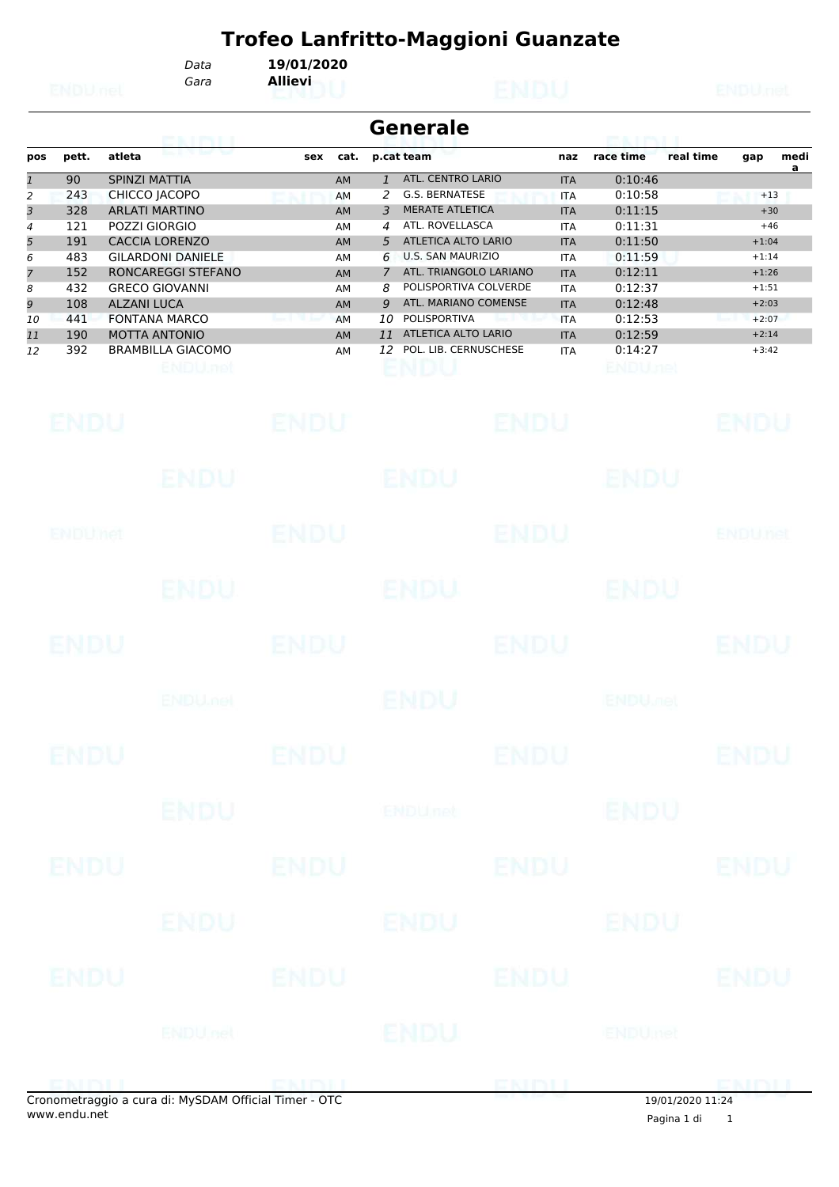*Gara* **Allievi** *Data* **19/01/2020**

|     |       |                          |     |           |    | <b>Generale</b>          |            |           |           |         |           |
|-----|-------|--------------------------|-----|-----------|----|--------------------------|------------|-----------|-----------|---------|-----------|
| pos | pett. | atleta                   | sex | cat.      |    | p.cat team               | naz        | race time | real time | gap     | medi<br>a |
|     | 90    | <b>SPINZI MATTIA</b>     |     | <b>AM</b> |    | ATL. CENTRO LARIO        | <b>ITA</b> | 0:10:46   |           |         |           |
| 2   | 243   | CHICCO JACOPO            |     | AM        |    | G.S. BERNATESE           | <b>ITA</b> | 0:10:58   |           | $+13$   |           |
| 3   | 328   | <b>ARLATI MARTINO</b>    |     | <b>AM</b> | 3  | <b>MERATE ATLETICA</b>   | <b>ITA</b> | 0:11:15   |           | $+30$   |           |
| 4   | 121   | POZZI GIORGIO            |     | AM        | 4  | ATL. ROVELLASCA          | <b>ITA</b> | 0:11:31   |           | $+46$   |           |
| 5   | 191   | <b>CACCIA LORENZO</b>    |     | <b>AM</b> | .5 | ATLETICA ALTO LARIO      | <b>ITA</b> | 0:11:50   |           | $+1:04$ |           |
| 6   | 483   | <b>GILARDONI DANIELE</b> |     | AM        | 6  | <b>U.S. SAN MAURIZIO</b> | <b>ITA</b> | 0:11:59   |           | $+1:14$ |           |
| 7   | 152   | RONCAREGGI STEFANO       |     | <b>AM</b> | 7  | ATL. TRIANGOLO LARIANO   | <b>ITA</b> | 0:12:11   |           | $+1:26$ |           |
| 8   | 432   | <b>GRECO GIOVANNI</b>    |     | AM        | 8  | POLISPORTIVA COLVERDE    | <b>ITA</b> | 0:12:37   |           | $+1:51$ |           |
| 9   | 108   | <b>ALZANI LUCA</b>       |     | <b>AM</b> | 9  | ATL. MARIANO COMENSE     | <b>ITA</b> | 0:12:48   |           | $+2:03$ |           |
| 10  | 441   | <b>FONTANA MARCO</b>     |     | AM        | 10 | <b>POLISPORTIVA</b>      | <b>ITA</b> | 0:12:53   |           | $+2:07$ |           |
| 11  | 190   | <b>MOTTA ANTONIO</b>     |     | <b>AM</b> | 11 | ATLETICA ALTO LARIO      | <b>ITA</b> | 0:12:59   |           | $+2:14$ |           |
| 12  | 392   | <b>BRAMBILLA GIACOMO</b> |     | AM        | 12 | POL. LIB. CERNUSCHESE    | <b>ITA</b> | 0:14:27   |           | $+3:42$ |           |
|     |       |                          |     |           |    |                          |            |           |           |         |           |
|     |       |                          |     |           |    |                          |            |           |           |         |           |

| <b>ENDU</b> |                                                  | ENDU        |              | <b>ENDU</b> |                | ENDU           |
|-------------|--------------------------------------------------|-------------|--------------|-------------|----------------|----------------|
|             | ENDU                                             |             | <b>ENDU</b>  |             | ENDU           |                |
| ENDUMER     |                                                  | <b>ENDU</b> |              | <b>ENDU</b> |                | <b>ENDUnet</b> |
|             | <b>ENDU</b>                                      |             | <b>ENDU.</b> |             | <b>ENDU</b>    |                |
| <b>ENDU</b> |                                                  | ENDU        |              | <b>ENDU</b> |                | <b>ENDU</b>    |
|             | <b>ENDUmet</b>                                   |             | ENDU         |             | <b>ENDUME!</b> |                |
| <b>ENDU</b> |                                                  | <b>ENDU</b> |              | <b>ENDU</b> |                | <b>ENDU</b>    |
|             | <b>ENDU</b>                                      |             | ENDUnet      |             | <b>ENDU</b>    |                |
| <b>ENDU</b> |                                                  | <b>ENDU</b> |              | <b>ENDU</b> |                | <b>ENDU</b>    |
|             | <b>ENDU</b>                                      |             | ENDU         |             | <b>ENDU</b>    |                |
| <b>ENDU</b> |                                                  | <b>ENDU</b> |              | <b>ENDU</b> |                | <b>ENDU</b>    |
|             |                                                  | ENDU net    |              | ENDU        |                |                |
|             | <b>ELL LEL E LUI JE MUCRAM QELILI TELLI LOTO</b> |             |              | ENDU        | 20101100001101 | <b>ENDUL</b>   |